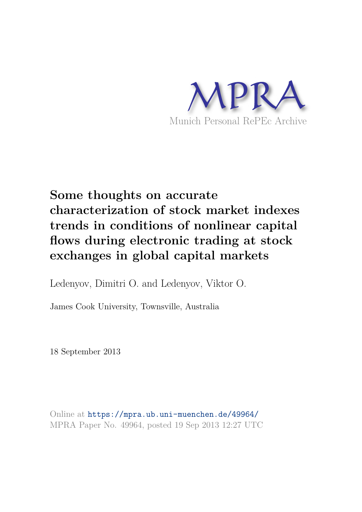

# **Some thoughts on accurate characterization of stock market indexes trends in conditions of nonlinear capital flows during electronic trading at stock exchanges in global capital markets**

Ledenyov, Dimitri O. and Ledenyov, Viktor O.

James Cook University, Townsville, Australia

18 September 2013

Online at https://mpra.ub.uni-muenchen.de/49964/ MPRA Paper No. 49964, posted 19 Sep 2013 12:27 UTC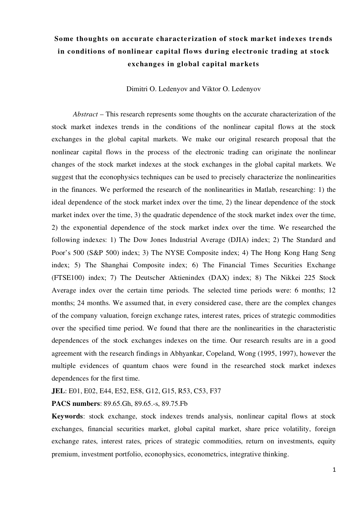# **Some thoughts on accurate characterization of stock market indexes trends in conditions of nonlinear capital flows during electronic trading at stock exchanges in global capital markets**

Dimitri O. Ledenyov and Viktor O. Ledenyov

*Abstract* – This research represents some thoughts on the accurate characterization of the stock market indexes trends in the conditions of the nonlinear capital flows at the stock exchanges in the global capital markets. We make our original research proposal that the nonlinear capital flows in the process of the electronic trading can originate the nonlinear changes of the stock market indexes at the stock exchanges in the global capital markets. We suggest that the econophysics techniques can be used to precisely characterize the nonlinearities in the finances. We performed the research of the nonlinearities in Matlab, researching: 1) the ideal dependence of the stock market index over the time, 2) the linear dependence of the stock market index over the time, 3) the quadratic dependence of the stock market index over the time, 2) the exponential dependence of the stock market index over the time. We researched the following indexes: 1) The Dow Jones Industrial Average (DJIA) index; 2) The Standard and Poor's 500 (S&P 500) index; 3) The NYSE Composite index; 4) The Hong Kong Hang Seng index; 5) The Shanghai Composite index; 6) The Financial Times Securities Exchange (FTSE100) index; 7) The Deutscher Aktienindex (DAX) index; 8) The Nikkei 225 Stock Average index over the certain time periods. The selected time periods were: 6 months; 12 months; 24 months. We assumed that, in every considered case, there are the complex changes of the company valuation, foreign exchange rates, interest rates, prices of strategic commodities over the specified time period. We found that there are the nonlinearities in the characteristic dependences of the stock exchanges indexes on the time. Our research results are in a good agreement with the research findings in Abhyankar, Copeland, Wong (1995, 1997), however the multiple evidences of quantum chaos were found in the researched stock market indexes dependences for the first time.

**JEL**: E01, E02, E44, E52, E58, G12, G15, R53, C53, F37

**PACS numbers**: 89.65.Gh, 89.65.-s, 89.75.Fb

**Keywords**: stock exchange, stock indexes trends analysis, nonlinear capital flows at stock exchanges, financial securities market, global capital market, share price volatility, foreign exchange rates, interest rates, prices of strategic commodities, return on investments, equity premium, investment portfolio, econophysics, econometrics, integrative thinking.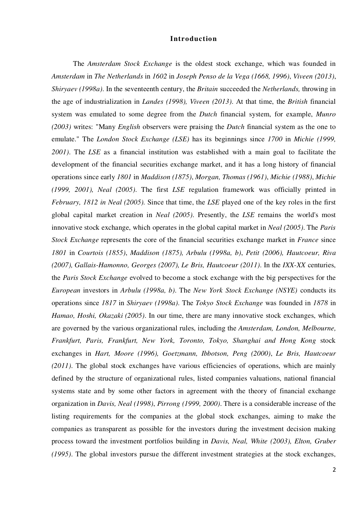#### **Introduction**

The *Amsterdam Stock Exchange* is the oldest stock exchange, which was founded in *Amsterdam* in *The Netherlands* in *1602* in *Joseph Penso de la Vega (1668, 1996)*, *Viveen (2013)*, *Shiryaev (1998a)*. In the seventeenth century, the *Britain* succeeded the *Netherlands,* throwing in the age of industrialization in *Landes (1998), Viveen (2013)*. At that time, the *British* financial system was emulated to some degree from the *Dutch* financial system, for example, *Munro (2003)* writes: "Many *English* observers were praising the *Dutch* financial system as the one to emulate." The *London Stock Exchange (LSE)* has its beginnings since *1700* in *Michie (1999, 2001)*. The *LSE* as a financial institution was established with a main goal to facilitate the development of the financial securities exchange market, and it has a long history of financial operations since early *1801* in *Maddison (1875)*, *Morgan, Thomas (1961)*, *Michie (1988)*, *Michie (1999, 2001), Neal (2005)*. The first *LSE* regulation framework was officially printed in *February, 1812 in Neal (2005).* Since that time, the *LSE* played one of the key roles in the first global capital market creation in *Neal (2005)*. Presently, the *LSE* remains the world's most innovative stock exchange, which operates in the global capital market in *Neal (2005)*. The *Paris Stock Exchange* represents the core of the financial securities exchange market in *France* since *1801* in *Courtois (1855)*, *Maddison (1875), Arbulu (1998a, b)*, *Petit (2006), Hautcoeur, Riva (2007), Gallais-Hamonno, Georges (2007), Le Bris, Hautcoeur (2011)*. In the *IXX-XX* centuries, the *Paris Stock Exchange* evolved to become a stock exchange with the big perspectives for the *European* investors in *Arbulu (1998a, b)*. The *New York Stock Exchange (NSYE)* conducts its operations since *1817* in *Shiryaev (1998a)*. The *Tokyo Stock Exchange* was founded in *1878* in *Hamao, Hoshi, Okazaki (2005)*. In our time, there are many innovative stock exchanges, which are governed by the various organizational rules, including the *Amsterdam, London, Melbourne, Frankfurt, Paris, Frankfurt, New York, Toronto, Tokyo, Shanghai and Hong Kong* stock exchanges in *Hart, Moore (1996), Goetzmann, Ibbotson, Peng (2000)*, *Le Bris, Hautcoeur (2011)*. The global stock exchanges have various efficiencies of operations, which are mainly defined by the structure of organizational rules, listed companies valuations, national financial systems state and by some other factors in agreement with the theory of financial exchange organization in *Davis, Neal (1998)*, *Pirrong (1999, 2000)*. There is a considerable increase of the listing requirements for the companies at the global stock exchanges, aiming to make the companies as transparent as possible for the investors during the investment decision making process toward the investment portfolios building in *Davis, Neal, White (2003), Elton, Gruber (1995)*. The global investors pursue the different investment strategies at the stock exchanges,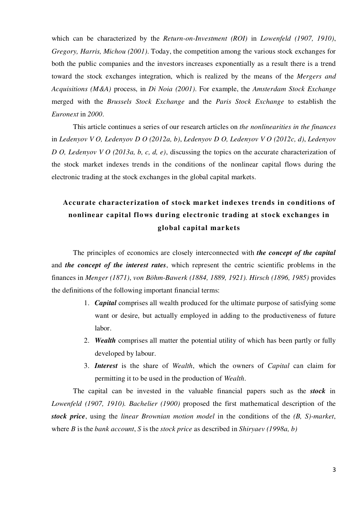which can be characterized by the *Return-on-Investment (ROI)* in *Lowenfeld (1907, 1910)*, *Gregory, Harris, Michou (2001)*. Today, the competition among the various stock exchanges for both the public companies and the investors increases exponentially as a result there is a trend toward the stock exchanges integration, which is realized by the means of the *Mergers and Acquisitions (M&A)* process, in *Di Noia (2001)*. For example, the *Amsterdam Stock Exchange* merged with the *Brussels Stock Exchange* and the *Paris Stock Exchange* to establish the *Euronext* in *2000*.

This article continues a series of our research articles on *the nonlinearities in the finances* in *Ledenyov V O, Ledenyov D O (2012a, b)*, *Ledenyov D O, Ledenyov V O (2012c, d)*, *Ledenyov D O, Ledenyov V O (2013a, b, c, d, e)*, discussing the topics on the accurate characterization of the stock market indexes trends in the conditions of the nonlinear capital flows during the electronic trading at the stock exchanges in the global capital markets.

# **Accurate characterization of stock market indexes trends in conditions of nonlinear capital flows during electronic trading at stock exchanges in global capital markets**

The principles of economics are closely interconnected with *the concept of the capital* and *the concept of the interest rates*, which represent the centric scientific problems in the finances in *Menger (1871)*, *von Böhm-Bawerk (1884, 1889, 1921). Hirsch (1896, 1985)* provides the definitions of the following important financial terms:

- 1. *Capital* comprises all wealth produced for the ultimate purpose of satisfying some want or desire, but actually employed in adding to the productiveness of future labor.
- 2. *Wealth* comprises all matter the potential utility of which has been partly or fully developed by labour.
- 3. *Interest* is the share of *Wealth*, which the owners of *Capital* can claim for permitting it to be used in the production of *Wealth*.

The capital can be invested in the valuable financial papers such as the *stock* in *Lowenfeld (1907, 1910). Bachelier (1900)* proposed the first mathematical description of the *stock price*, using the *linear Brownian motion model* in the conditions of the *(B, S)-market*, where *B* is the *bank account*, *S* is the *stock price* as described in *Shiryaev (1998a, b)*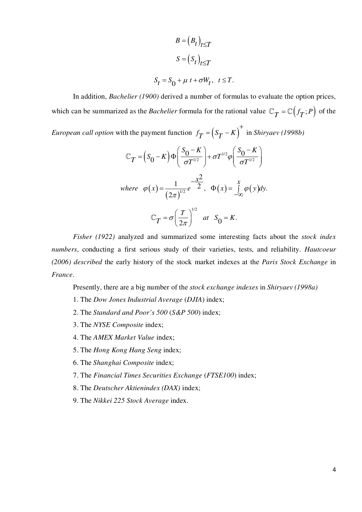$$
B = (B_t)_{t \le T}
$$
  

$$
S = (S_t)_{t \le T}
$$
  

$$
S_t = S_0 + \mu t + \sigma W_t, \quad t \le T.
$$

In addition, *Bachelier (1900)* derived a number of formulas to evaluate the option prices, which can be summarized as the *Bachelier* formula for the rational value  $\mathbb{C}_T = \mathbb{C}(f_T; P)$  of the

*European call option* with the payment function  $f_T = (S_T - K)^+$  $=\left(S_T - K\right)$  in *Shiryaev* (1998b)

$$
\mathbb{C}_T = (S_0 - K)\Phi\left(\frac{S_0 - K}{\sigma T^{1/2}}\right) + \sigma T^{1/2}\varphi\left(\frac{S_0 - K}{\sigma T^{1/2}}\right)
$$
  
where  $\varphi(x) = \frac{1}{(2\pi)^{1/2}}e^{-\frac{x^2}{2}}$ ,  $\Phi(x) = \int_{-\infty}^{x} \varphi(y)dy$ .  

$$
\mathbb{C}_T = \sigma\left(\frac{T}{2\pi}\right)^{1/2} \text{ at } S_0 = K.
$$

*Fisher (1922)* analyzed and summarized some interesting facts about the *stock index numbers*, conducting a first serious study of their varieties, tests, and reliability. *Hautcoeur (2006) described* the early history of the stock market indexes at the *Paris Stock Exchange* in *France*.

Presently, there are a big number of the *stock exchange indexes* in *Shiryaev (1998a)*

- 1. The *Dow Jones Industrial Average* (*DJIA*) index;
- 2. The *Standard and Poor's 500* (*S&P 500*) index;
- 3. The *NYSE Composite* index;
- 4. The *AMEX Market Value* index;
- 5. The *Hong Kong Hang Seng* index;
- 6. The *Shanghai Composite* index;
- 7. The *Financial Times Securities Exchange* (*FTSE100*) index;
- 8. The *Deutscher Aktienindex (DAX)* index;
- 9. The *Nikkei 225 Stock Average* index.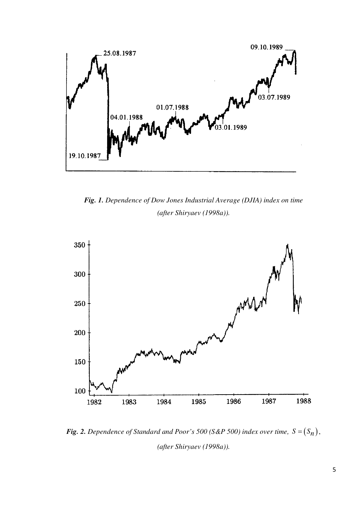

*Fig. 1. Dependence of Dow Jones Industrial Average (DJIA) index on time (after Shiryaev (1998a)).*



*Fig. 2. Dependence of Standard and Poor's 500 (S&P 500) index over time,*  $S = (S_n)$ *, (after Shiryaev (1998a)).*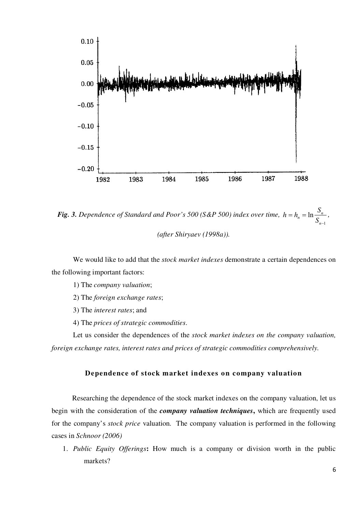

*Fig. 3. Dependence of Standard and Poor's 500 (S&P 500) index over time,*  1  $n_n = \ln \frac{B_n}{c}$ *n*  $h = h_n = \ln \frac{S}{S}$  $S_{n-1}$  $= h_n = \ln \frac{b_n}{a}$ ,

*(after Shiryaev (1998a)).*

We would like to add that the *stock market indexes* demonstrate a certain dependences on the following important factors:

1) The *company valuation*;

2) The *foreign exchange rates*;

3) The *interest rates*; and

4) The *prices of strategic commodities*.

Let us consider the dependences of the *stock market indexes on the company valuation, foreign exchange rates, interest rates and prices of strategic commodities comprehensively.*

#### **Dependence of stock market indexes on company valuation**

Researching the dependence of the stock market indexes on the company valuation, let us begin with the consideration of the *company valuation techniques***,** which are frequently used for the company's *stock price* valuation. The company valuation is performed in the following cases in *Schnoor (2006)*

1. *Public Equity Offerings***:** How much is a company or division worth in the public markets?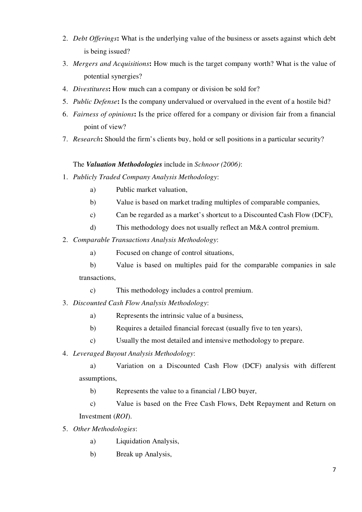- 2. *Debt Offerings***:** What is the underlying value of the business or assets against which debt is being issued?
- 3. *Mergers and Acquisitions***:** How much is the target company worth? What is the value of potential synergies?
- 4. *Divestitures***:** How much can a company or division be sold for?
- 5. *Public Defense***:** Is the company undervalued or overvalued in the event of a hostile bid?
- 6. *Fairness of opinions***:** Is the price offered for a company or division fair from a financial point of view?
- 7. *Research***:** Should the firm's clients buy, hold or sell positions in a particular security?

## The *Valuation Methodologies* include in *Schnoor (2006)*:

- 1. *Publicly Traded Company Analysis Methodology*:
	- a) Public market valuation,
	- b) Value is based on market trading multiples of comparable companies,
	- c) Can be regarded as a market's shortcut to a Discounted Cash Flow (DCF),
	- d) This methodology does not usually reflect an M&A control premium.
- 2. *Comparable Transactions Analysis Methodology*:
	- a) Focused on change of control situations,
	- b) Value is based on multiples paid for the comparable companies in sale transactions,
		- c) This methodology includes a control premium.
- 3. *Discounted Cash Flow Analysis Methodology*:
	- a) Represents the intrinsic value of a business,
	- b) Requires a detailed financial forecast (usually five to ten years),
	- c) Usually the most detailed and intensive methodology to prepare.
- 4. *Leveraged Buyout Analysis Methodology*:

a) Variation on a Discounted Cash Flow (DCF) analysis with different assumptions,

b) Represents the value to a financial / LBO buyer,

c) Value is based on the Free Cash Flows, Debt Repayment and Return on Investment (*ROI*).

- 5. *Other Methodologies*:
	- a) Liquidation Analysis,
	- b) Break up Analysis,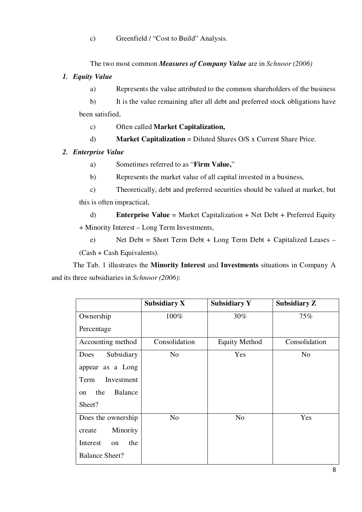c) Greenfield / "Cost to Build" Analysis.

The two most common *Measures of Company Value* are in *Schnoor (2006)*

## *1. Equity Value*

a) Represents the value attributed to the common shareholders of the business

b) It is the value remaining after all debt and preferred stock obligations have been satisfied,

c) Often called **Market Capitalization,**

d) **Market Capitalization** = Diluted Shares O/S x Current Share Price.

## *2. Enterprise Value*

- a) Sometimes referred to as "**Firm Value,**"
- b) Represents the market value of all capital invested in a business,
- c) Theoretically, debt and preferred securities should be valued at market, but this is often impractical,

d) **Enterprise Value** = Market Capitalization + Net Debt + Preferred Equity + Minority Interest – Long Term Investments,

e) Net Debt = Short Term Debt + Long Term Debt + Capitalized Leases – (Cash + Cash Equivalents).

The Tab. 1 illustrates the **Minority Interest** and **Investments** situations in Company A and its three subsidiaries in *Schnoor (2006)*:

|                       | Subsidiary X  | <b>Subsidiary Y</b>  | Subsidiary Z   |
|-----------------------|---------------|----------------------|----------------|
| Ownership             | 100%          | 30%                  | 75%            |
| Percentage            |               |                      |                |
| Accounting method     | Consolidation | <b>Equity Method</b> | Consolidation  |
| Subsidiary<br>Does    | No            | Yes                  | N <sub>0</sub> |
| appear as a Long      |               |                      |                |
| Investment<br>Term    |               |                      |                |
| Balance<br>the<br>on  |               |                      |                |
| Sheet?                |               |                      |                |
| Does the ownership    | No            | N <sub>0</sub>       | Yes            |
| Minority<br>create    |               |                      |                |
| the<br>Interest<br>on |               |                      |                |
| <b>Balance Sheet?</b> |               |                      |                |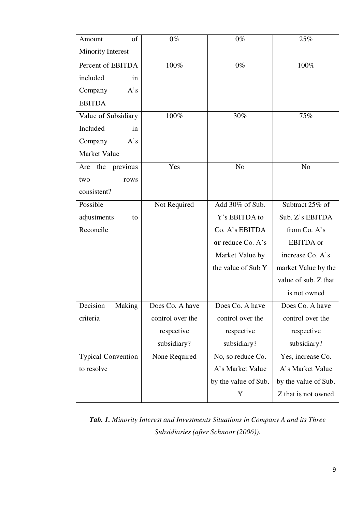| of<br>Amount              | $0\%$            | $0\%$                | 25%                  |
|---------------------------|------------------|----------------------|----------------------|
| <b>Minority Interest</b>  |                  |                      |                      |
| Percent of EBITDA         | 100%             | $0\%$                | 100%                 |
| included<br>in            |                  |                      |                      |
| Company<br>A's            |                  |                      |                      |
| <b>EBITDA</b>             |                  |                      |                      |
| Value of Subsidiary       | $100\%$          | 30%                  | 75%                  |
| Included<br>in            |                  |                      |                      |
| Company<br>A's            |                  |                      |                      |
| Market Value              |                  |                      |                      |
| Are the previous          | Yes              | N <sub>o</sub>       | N <sub>o</sub>       |
| two<br>rows               |                  |                      |                      |
| consistent?               |                  |                      |                      |
| Possible                  | Not Required     | Add 30% of Sub.      | Subtract 25% of      |
| adjustments<br>to         |                  | Y's EBITDA to        | Sub. Z's EBITDA      |
| Reconcile                 |                  | Co. A's EBITDA       | from Co. A's         |
|                           |                  | or reduce Co. A's    | <b>EBITDA</b> or     |
|                           |                  | Market Value by      | increase Co. A's     |
|                           |                  | the value of Sub Y   | market Value by the  |
|                           |                  |                      | value of sub. Z that |
|                           |                  |                      | is not owned         |
| Making<br>Decision        | Does Co. A have  | Does Co. A have      | Does Co. A have      |
| criteria                  | control over the | control over the     | control over the     |
|                           | respective       | respective           | respective           |
|                           | subsidiary?      | subsidiary?          | subsidiary?          |
| <b>Typical Convention</b> | None Required    | No, so reduce Co.    | Yes, increase Co.    |
| to resolve                |                  | A's Market Value     | A's Market Value     |
|                           |                  | by the value of Sub. | by the value of Sub. |
|                           |                  | Y                    | Z that is not owned  |

*Tab. 1. Minority Interest and Investments Situations in Company A and its Three Subsidiaries (after Schnoor (2006)).*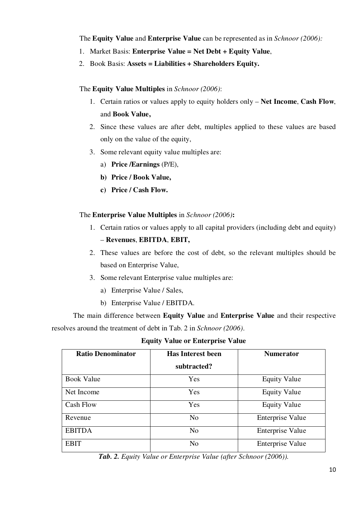The **Equity Value** and **Enterprise Value** can be represented as in *Schnoor (2006):*

- 1. Market Basis: **Enterprise Value = Net Debt + Equity Value**,
- 2. Book Basis: **Assets = Liabilities + Shareholders Equity.**

## The **Equity Value Multiples** in *Schnoor (2006)*:

- 1. Certain ratios or values apply to equity holders only **Net Income**, **Cash Flow**, and **Book Value,**
- 2. Since these values are after debt, multiples applied to these values are based only on the value of the equity,
- 3. Some relevant equity value multiples are:
	- a) **Price /Earnings** (P/E),
	- **b) Price / Book Value,**
	- **c) Price / Cash Flow.**

## The **Enterprise Value Multiples** in *Schnoor (2006)***:**

- 1. Certain ratios or values apply to all capital providers (including debt and equity) – **Revenues**, **EBITDA**, **EBIT,**
- 2. These values are before the cost of debt, so the relevant multiples should be based on Enterprise Value,
- 3. Some relevant Enterprise value multiples are:
	- a) Enterprise Value / Sales,
	- b) Enterprise Value / EBITDA.

The main difference between **Equity Value** and **Enterprise Value** and their respective resolves around the treatment of debt in Tab. 2 in *Schnoor (2006)*.

|  |  | <b>Equity Value or Enterprise Value</b> |  |  |
|--|--|-----------------------------------------|--|--|
|--|--|-----------------------------------------|--|--|

| <b>Ratio Denominator</b> | <b>Has Interest been</b><br>subtracted? | <b>Numerator</b>        |
|--------------------------|-----------------------------------------|-------------------------|
| Book Value               | Yes                                     | <b>Equity Value</b>     |
| Net Income               | Yes                                     | <b>Equity Value</b>     |
| Cash Flow                | Yes                                     | <b>Equity Value</b>     |
| Revenue                  | N <sub>0</sub>                          | <b>Enterprise Value</b> |
| <b>EBITDA</b>            | N <sub>0</sub>                          | Enterprise Value        |
| <b>EBIT</b>              | N <sub>0</sub>                          | <b>Enterprise Value</b> |

*Tab. 2. Equity Value or Enterprise Value (after Schnoor (2006)).*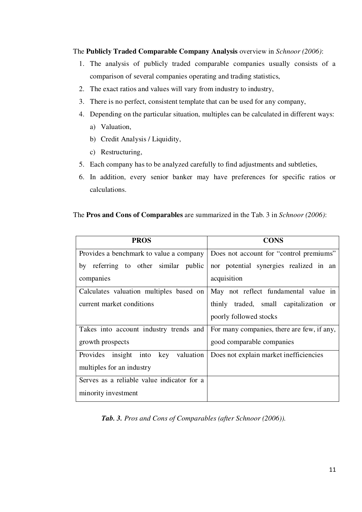The **Publicly Traded Comparable Company Analysis** overview in *Schnoor (2006)*:

- 1. The analysis of publicly traded comparable companies usually consists of a comparison of several companies operating and trading statistics,
- 2. The exact ratios and values will vary from industry to industry,
- 3. There is no perfect, consistent template that can be used for any company,
- 4. Depending on the particular situation, multiples can be calculated in different ways:
	- a) Valuation,
	- b) Credit Analysis / Liquidity,
	- c) Restructuring,
- 5. Each company has to be analyzed carefully to find adjustments and subtleties,
- 6. In addition, every senior banker may have preferences for specific ratios or calculations.

## The **Pros and Cons of Comparables** are summarized in the Tab. 3 in *Schnoor (2006)*:

| <b>PROS</b>                                | <b>CONS</b>                                      |
|--------------------------------------------|--------------------------------------------------|
| Provides a benchmark to value a company    | Does not account for "control premiums"          |
| by referring to other similar public       | nor potential synergies realized in an           |
| companies                                  | acquisition                                      |
| Calculates valuation multiples based on    | May not reflect fundamental value in             |
| current market conditions                  | thinly traded, small capitalization<br><b>or</b> |
|                                            | poorly followed stocks                           |
| Takes into account industry trends and     | For many companies, there are few, if any,       |
| growth prospects                           | good comparable companies                        |
| key valuation<br>Provides<br>insight into  | Does not explain market inefficiencies           |
| multiples for an industry                  |                                                  |
| Serves as a reliable value indicator for a |                                                  |
| minority investment                        |                                                  |

*Tab. 3. Pros and Cons of Comparables (after Schnoor (2006)).*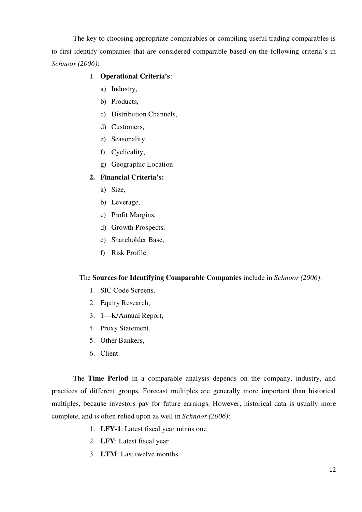The key to choosing appropriate comparables or compiling useful trading comparables is to first identify companies that are considered comparable based on the following criteria's in *Schnoor (2006)*:

## 1. **Operational Criteria's**:

- a) Industry,
- b) Products,
- c) Distribution Channels,
- d) Customers,
- e) Seasonality,
- f) Cyclicality,
- g) Geographic Location.

## **2. Financial Criteria's:**

- a) Size,
- b) Leverage,
- c) Profit Margins,
- d) Growth Prospects,
- e) Shareholder Base,
- f) Risk Profile.

#### The **Sources for Identifying Comparable Companies** include in *Schnoor (2006)*:

- 1. SIC Code Screens,
- 2. Equity Research,
- 3. 1—K/Annual Report,
- 4. Proxy Statement,
- 5. Other Bankers,
- 6. Client.

The **Time Period** in a comparable analysis depends on the company, industry, and practices of different groups. Forecast multiples are generally more important than historical multiples, because investors pay for future earnings. However, historical data is usually more complete, and is often relied upon as well in *Schnoor (2006)*:

- 1. **LFY-1**: Latest fiscal year minus one
- 2. **LFY**: Latest fiscal year
- 3. **LTM**: Last twelve months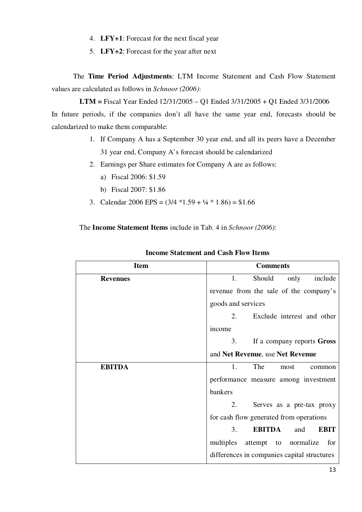- 4. **LFY+1**: Forecast for the next fiscal year
- 5. **LFY+2**: Forecast for the year after next

The **Time Period Adjustments**: LTM Income Statement and Cash Flow Statement values are calculated as follows in *Schnoor (2006)*:

**LTM =** Fiscal Year Ended 12/31/2005 – Q1 Ended 3/31/2005 + Q1 Ended 3/31/2006 In future periods, if the companies don't all have the same year end, forecasts should be calendarized to make them comparable:

- 1. If Company A has a September 30 year end, and all its peers have a December 31 year end, Company A's forecast should be calendarized
- 2. Earnings per Share estimates for Company A are as follows:
	- a) Fiscal 2006: \$1.59
	- b) Fiscal 2007: \$1.86
- 3. Calendar 2006 EPS =  $(3/4 *1.59 + \frac{1}{4} * 1.86) = $1.66$

The **Income Statement Items** include in Tab. 4 in *Schnoor (2006)*:

| <b>Item</b>     | <b>Comments</b>                             |
|-----------------|---------------------------------------------|
| <b>Revenues</b> | Should<br>only<br>1.<br>include             |
|                 | revenue from the sale of the company's      |
|                 | goods and services                          |
|                 | 2.<br>Exclude interest and other            |
|                 | income                                      |
|                 | If a company reports Gross<br>3.            |
|                 | and Net Revenue, use Net Revenue            |
| <b>EBITDA</b>   | The<br>1.<br>most<br>common                 |
|                 | performance measure among investment        |
|                 | bankers                                     |
|                 | 2.<br>Serves as a pre-tax proxy             |
|                 | for cash flow generated from operations     |
|                 | <b>EBITDA</b><br>3.<br><b>EBIT</b><br>and   |
|                 | multiples<br>attempt to normalize<br>for    |
|                 | differences in companies capital structures |

## **Income Statement and Cash Flow Items**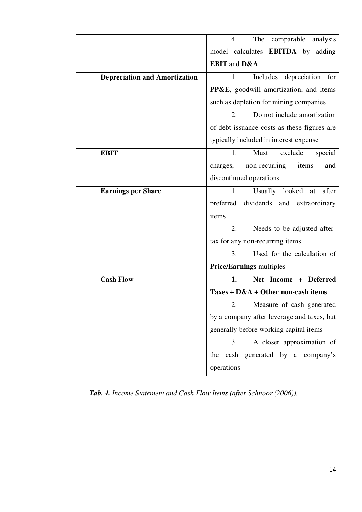|                                      | The comparable analysis<br>4.                      |
|--------------------------------------|----------------------------------------------------|
|                                      | model calculates <b>EBITDA</b> by adding           |
|                                      | <b>EBIT</b> and D&A                                |
| <b>Depreciation and Amortization</b> | Includes depreciation for<br>1.                    |
|                                      | <b>PP&amp;E</b> , goodwill amortization, and items |
|                                      | such as depletion for mining companies             |
|                                      | Do not include amortization<br>2.                  |
|                                      | of debt issuance costs as these figures are        |
|                                      | typically included in interest expense             |
| <b>EBIT</b>                          | Must<br>exclude<br>special<br>1.                   |
|                                      | charges,<br>non-recurring<br>items<br>and          |
|                                      | discontinued operations                            |
| <b>Earnings per Share</b>            | Usually looked<br>after<br>1.<br>at                |
|                                      | preferred dividends and extraordinary              |
|                                      | items                                              |
|                                      |                                                    |
|                                      | Needs to be adjusted after-<br>2.                  |
|                                      | tax for any non-recurring items                    |
|                                      | Used for the calculation of<br>3.                  |
|                                      | <b>Price/Earnings multiples</b>                    |
| <b>Cash Flow</b>                     | Net Income + Deferred<br>1.                        |
|                                      | Taxes + $D&A + Other$ non-cash items               |
|                                      | Measure of cash generated<br>2.                    |
|                                      | by a company after leverage and taxes, but         |
|                                      | generally before working capital items             |
|                                      | A closer approximation of<br>3.                    |
|                                      | cash generated by a company's<br>the               |

*Tab. 4. Income Statement and Cash Flow Items (after Schnoor (2006)).*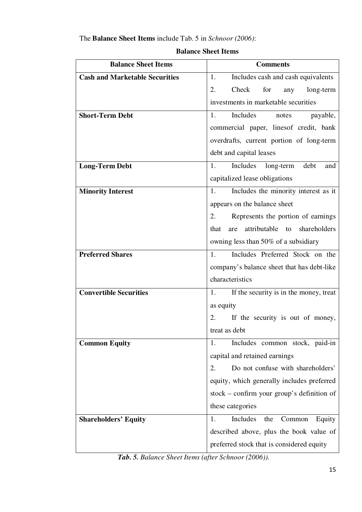## The **Balance Sheet Items** include Tab. 5 in *Schnoor (2006)*:

| <b>Balance Sheet Items</b>            | <b>Comments</b>                                |
|---------------------------------------|------------------------------------------------|
| <b>Cash and Marketable Securities</b> | Includes cash and cash equivalents<br>1.       |
|                                       | Check<br>for<br>2.<br>any<br>long-term         |
|                                       | investments in marketable securities           |
| <b>Short-Term Debt</b>                | Includes<br>1.<br>payable,<br>notes            |
|                                       | commercial paper, linesof credit, bank         |
|                                       | overdrafts, current portion of long-term       |
|                                       | debt and capital leases                        |
| <b>Long-Term Debt</b>                 | debt<br>1.<br>Includes long-term<br>and        |
|                                       | capitalized lease obligations                  |
| <b>Minority Interest</b>              | Includes the minority interest as it<br>1.     |
|                                       | appears on the balance sheet                   |
|                                       | Represents the portion of earnings<br>2.       |
|                                       | attributable to<br>shareholders<br>that<br>are |
|                                       | owning less than 50% of a subsidiary           |
| <b>Preferred Shares</b>               | Includes Preferred Stock on the<br>1.          |
|                                       | company's balance sheet that has debt-like     |
|                                       | characteristics                                |
| <b>Convertible Securities</b>         | If the security is in the money, treat<br>1.   |
|                                       | as equity                                      |
|                                       | If the security is out of money,<br>2.         |
|                                       | treat as debt                                  |
| <b>Common Equity</b>                  | Includes common stock, paid-in<br>1.           |
|                                       | capital and retained earnings                  |
|                                       | Do not confuse with shareholders'<br>2.        |
|                                       | equity, which generally includes preferred     |
|                                       | $stock - confirm your group's definition of$   |
|                                       | these categories                               |
| <b>Shareholders' Equity</b>           | Includes<br>Common<br>1.<br>the<br>Equity      |
|                                       | described above, plus the book value of        |
|                                       | preferred stock that is considered equity      |

## **Balance Sheet Items**

*Tab. 5. Balance Sheet Items (after Schnoor (2006)).*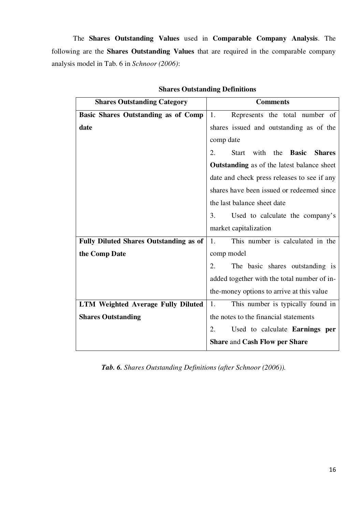The **Shares Outstanding Values** used in **Comparable Company Analysis**. The following are the **Shares Outstanding Values** that are required in the comparable company analysis model in Tab. 6 in *Schnoor (2006)*:

| <b>Shares Outstanding Category</b>            | <b>Comments</b>                                                 |
|-----------------------------------------------|-----------------------------------------------------------------|
| Basic Shares Outstanding as of Comp           | 1.<br>Represents the total number of                            |
| date                                          | shares issued and outstanding as of the                         |
|                                               | comp date                                                       |
|                                               | 2.<br>with<br>the <b>Basic</b><br><b>Shares</b><br><b>Start</b> |
|                                               | <b>Outstanding</b> as of the latest balance sheet               |
|                                               | date and check press releases to see if any                     |
|                                               | shares have been issued or redeemed since                       |
|                                               | the last balance sheet date                                     |
|                                               | Used to calculate the company's<br>3.                           |
|                                               | market capitalization                                           |
| <b>Fully Diluted Shares Outstanding as of</b> | This number is calculated in the<br>1.                          |
| the Comp Date                                 | comp model                                                      |
|                                               | 2.<br>The basic shares outstanding is                           |
|                                               | added together with the total number of in-                     |
|                                               | the-money options to arrive at this value                       |
| <b>LTM Weighted Average Fully Diluted</b>     | This number is typically found in<br>1.                         |
| <b>Shares Outstanding</b>                     | the notes to the financial statements                           |
|                                               | 2.<br>Used to calculate <b>Earnings</b> per                     |
|                                               | <b>Share and Cash Flow per Share</b>                            |

## **Shares Outstanding Definitions**

*Tab. 6. Shares Outstanding Definitions (after Schnoor (2006)).*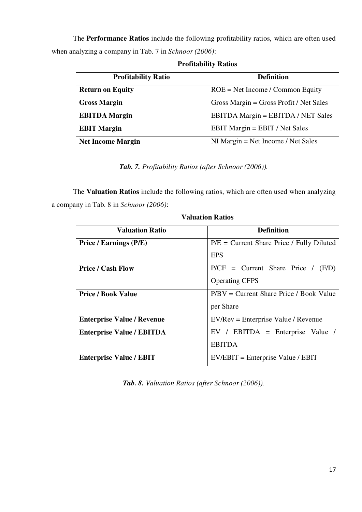The **Performance Ratios** include the following profitability ratios, which are often used when analyzing a company in Tab. 7 in *Schnoor (2006)*:

| <b>Profitability Ratio</b> | <b>Definition</b>                       |
|----------------------------|-----------------------------------------|
| <b>Return on Equity</b>    | $ROE = Net Income / Common Equity$      |
| <b>Gross Margin</b>        | Gross Margin = Gross Profit / Net Sales |
| <b>EBITDA</b> Margin       | EBITDA Margin = EBITDA / NET Sales      |
| <b>EBIT Margin</b>         | EBIT Margin = EBIT / Net Sales          |
| <b>Net Income Margin</b>   | $NI$ Margin = Net Income / Net Sales    |

**Profitability Ratios**

*Tab. 7. Profitability Ratios (after Schnoor (2006)).*

The **Valuation Ratios** include the following ratios, which are often used when analyzing a company in Tab. 8 in *Schnoor (2006)*:

| <b>Valuation Ratio</b>            | <b>Definition</b>                           |
|-----------------------------------|---------------------------------------------|
| Price / Earnings (P/E)            | $P/E = Current$ Share Price / Fully Diluted |
|                                   | <b>EPS</b>                                  |
| <b>Price / Cash Flow</b>          | $P/CF = Current$ Share Price / $(F/D)$      |
|                                   | <b>Operating CFPS</b>                       |
| <b>Price / Book Value</b>         | $P/BV = Current$ Share Price / Book Value   |
|                                   | per Share                                   |
| <b>Enterprise Value / Revenue</b> | $EV/Rev = Enterprise Value / Revenue$       |
| <b>Enterprise Value / EBITDA</b>  | $EV / EBITDA = Enterprise Value /$          |
|                                   | <b>EBITDA</b>                               |
| <b>Enterprise Value / EBIT</b>    | $EV/EBIT = Enterprise Value / EBIT$         |

**Valuation Ratios**

*Tab. 8. Valuation Ratios (after Schnoor (2006)).*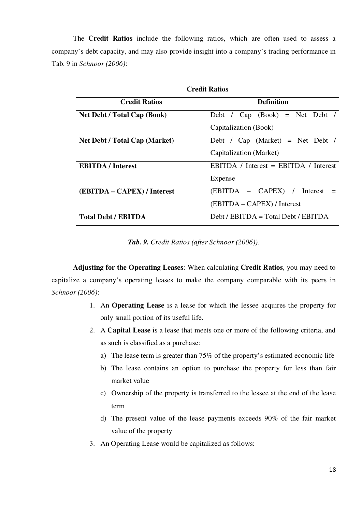The **Credit Ratios** include the following ratios, which are often used to assess a company's debt capacity, and may also provide insight into a company's trading performance in Tab. 9 in *Schnoor (2006)*:

| <b>Credit Ratios</b>                 | <b>Definition</b>                     |
|--------------------------------------|---------------------------------------|
| <b>Net Debt / Total Cap (Book)</b>   | Debt / $Cap (Book) = Net Det /$       |
|                                      | Capitalization (Book)                 |
| <b>Net Debt / Total Cap (Market)</b> | Debt / Cap (Market) = Net Debt /      |
|                                      | Capitalization (Market)               |
| <b>EBITDA</b> / Interest             | EBITDA / Interest = EBITDA / Interest |
|                                      | Expense                               |
| (EBITDA – CAPEX) / Interest          | (EBITDA – CAPEX) / Interest           |
|                                      | (EBITDA – CAPEX) / Interest           |
| <b>Total Debt / EBITDA</b>           | $Debt / EBITDA = Total Debt / EBITDA$ |

**Credit Ratios**

*Tab. 9. Credit Ratios (after Schnoor (2006)).*

**Adjusting for the Operating Leases**: When calculating **Credit Ratios**, you may need to capitalize a company's operating leases to make the company comparable with its peers in *Schnoor (2006)*:

- 1. An **Operating Lease** is a lease for which the lessee acquires the property for only small portion of its useful life.
- 2. A **Capital Lease** is a lease that meets one or more of the following criteria, and as such is classified as a purchase:
	- a) The lease term is greater than 75% of the property's estimated economic life
	- b) The lease contains an option to purchase the property for less than fair market value
	- c) Ownership of the property is transferred to the lessee at the end of the lease term
	- d) The present value of the lease payments exceeds 90% of the fair market value of the property
- 3. An Operating Lease would be capitalized as follows: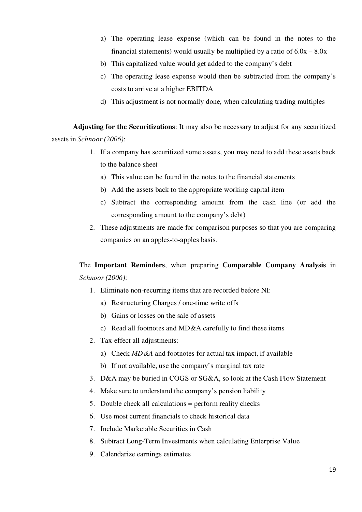- a) The operating lease expense (which can be found in the notes to the financial statements) would usually be multiplied by a ratio of  $6.0x - 8.0x$
- b) This capitalized value would get added to the company's debt
- c) The operating lease expense would then be subtracted from the company's costs to arrive at a higher EBITDA
- d) This adjustment is not normally done, when calculating trading multiples

**Adjusting for the Securitizations**: It may also be necessary to adjust for any securitized assets in *Schnoor (2006)*:

- 1. If a company has securitized some assets, you may need to add these assets back to the balance sheet
	- a) This value can be found in the notes to the financial statements
	- b) Add the assets back to the appropriate working capital item
	- c) Subtract the corresponding amount from the cash line (or add the corresponding amount to the company's debt)
- 2. These adjustments are made for comparison purposes so that you are comparing companies on an apples-to-apples basis.

The **Important Reminders**, when preparing **Comparable Company Analysis** in *Schnoor (2006)*:

- 1. Eliminate non-recurring items that are recorded before NI:
	- a) Restructuring Charges / one-time write offs
	- b) Gains or losses on the sale of assets
	- c) Read all footnotes and MD&A carefully to find these items
- 2. Tax-effect all adjustments:
	- a) Check *MD&A* and footnotes for actual tax impact, if available
	- b) If not available, use the company's marginal tax rate
- 3. D&A may be buried in COGS or SG&A, so look at the Cash Flow Statement
- 4. Make sure to understand the company's pension liability
- 5. Double check all calculations = perform reality checks
- 6. Use most current financials to check historical data
- 7. Include Marketable Securities in Cash
- 8. Subtract Long-Term Investments when calculating Enterprise Value
- 9. Calendarize earnings estimates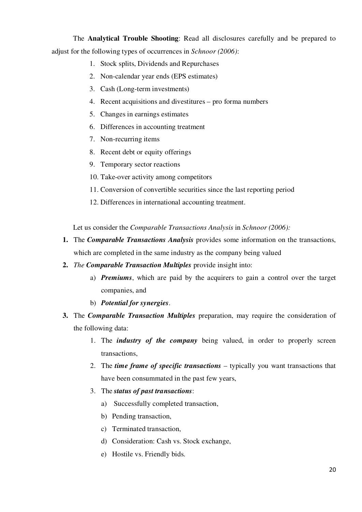The **Analytical Trouble Shooting**: Read all disclosures carefully and be prepared to adjust for the following types of occurrences in *Schnoor (2006)*:

- 1. Stock splits, Dividends and Repurchases
- 2. Non-calendar year ends (EPS estimates)
- 3. Cash (Long-term investments)
- 4. Recent acquisitions and divestitures pro forma numbers
- 5. Changes in earnings estimates
- 6. Differences in accounting treatment
- 7. Non-recurring items
- 8. Recent debt or equity offerings
- 9. Temporary sector reactions
- 10. Take-over activity among competitors
- 11. Conversion of convertible securities since the last reporting period
- 12. Differences in international accounting treatment.

Let us consider the *Comparable Transactions Analysis* in *Schnoor (2006):*

- **1.** The *Comparable Transactions Analysis* provides some information on the transactions, which are completed in the same industry as the company being valued
- **2.** *The Comparable Transaction Multiples* provide insight into:
	- a) *Premiums*, which are paid by the acquirers to gain a control over the target companies, and
	- b) *Potential for synergies*.
- **3.** The *Comparable Transaction Multiples* preparation, may require the consideration of the following data:
	- 1. The *industry of the company* being valued, in order to properly screen transactions,
	- 2. The *time frame of specific transactions* typically you want transactions that have been consummated in the past few years,
	- 3. The *status of past transactions*:
		- a) Successfully completed transaction,
		- b) Pending transaction,
		- c) Terminated transaction,
		- d) Consideration: Cash vs. Stock exchange,
		- e) Hostile vs. Friendly bids.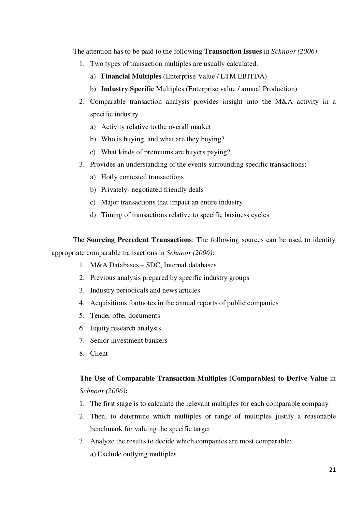The attention has to be paid to the following **Transaction Issues** in *Schnoor (2006)*:

- 1. Two types of transaction multiples are usually calculated:
	- a) **Financial Multiples** (Enterprise Value / LTM EBITDA)
	- b) **Industry Specific** Multiples (Enterprise value / annual Production)
- 2. Comparable transaction analysis provides insight into the M&A activity in a specific industry
	- a) Activity relative to the overall market
	- b) Who is buying, and what are they buying?
	- c) What kinds of premiums are buyers paying?
- 3. Provides an understanding of the events surrounding specific transactions:
	- a) Hotly contested transactions
	- b) Privately- negotiated friendly deals
	- c) Major transactions that impact an entire industry
	- d) Timing of transactions relative to specific business cycles

The **Sourcing Precedent Transactions**: The following sources can be used to identify appropriate comparable transactions in *Schnoor (2006)*:

- 1. M&A Databases SDC, Internal databases
- 2. Previous analysis prepared by specific industry groups
- 3. Industry periodicals and news articles
- 4. Acquisitions footnotes in the annual reports of public companies
- 5. Tender offer documents
- 6. Equity research analysts
- 7. Senior investment bankers
- 8. Client

# **The Use of Comparable Transaction Multiples (Comparables) to Derive Value** in

*Schnoor (2006)***:** 

- 1. The first stage is to calculate the relevant multiples for each comparable company
- 2. Then, to determine which multiples or range of multiples justify a reasonable benchmark for valuing the specific target
- 3. Analyze the results to decide which companies are most comparable:
	- a) Exclude outlying multiples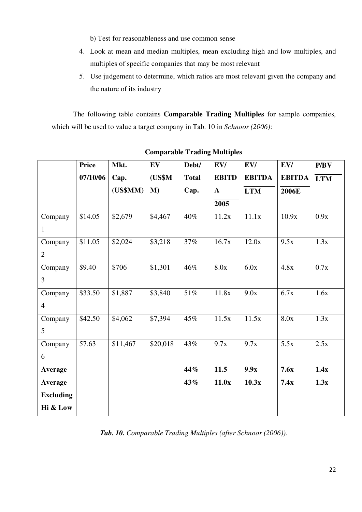b) Test for reasonableness and use common sense

- 4. Look at mean and median multiples, mean excluding high and low multiples, and multiples of specific companies that may be most relevant
- 5. Use judgement to determine, which ratios are most relevant given the company and the nature of its industry

The following table contains **Comparable Trading Multiples** for sample companies, which will be used to value a target company in Tab. 10 in *Schnoor (2006)*:

|                  | <b>Price</b> | Mkt.     | EV       | Debt/        | EV/          | EV/           | EV/           | P/BV       |
|------------------|--------------|----------|----------|--------------|--------------|---------------|---------------|------------|
|                  | 07/10/06     | Cap.     | (US\$M   | <b>Total</b> | <b>EBITD</b> | <b>EBITDA</b> | <b>EBITDA</b> | <b>LTM</b> |
|                  |              | (US\$MM) | $M$ )    | Cap.         | $\mathbf{A}$ | <b>LTM</b>    | <b>2006E</b>  |            |
|                  |              |          |          |              | 2005         |               |               |            |
| Company          | \$14.05      | \$2,679  | \$4,467  | 40%          | 11.2x        | 11.1x         | 10.9x         | 0.9x       |
| $\mathbf{1}$     |              |          |          |              |              |               |               |            |
| Company          | \$11.05      | \$2,024  | \$3,218  | 37%          | 16.7x        | 12.0x         | 9.5x          | 1.3x       |
| $\overline{2}$   |              |          |          |              |              |               |               |            |
| Company          | \$9.40       | \$706    | \$1,301  | 46%          | 8.0x         | 6.0x          | 4.8x          | 0.7x       |
| $\overline{3}$   |              |          |          |              |              |               |               |            |
| Company          | \$33.50      | \$1,887  | \$3,840  | $51\%$       | 11.8x        | 9.0x          | 6.7x          | 1.6x       |
| $\overline{4}$   |              |          |          |              |              |               |               |            |
| Company          | \$42.50      | \$4,062  | \$7,394  | 45%          | 11.5x        | 11.5x         | 8.0x          | 1.3x       |
| 5                |              |          |          |              |              |               |               |            |
| Company          | 57.63        | \$11,467 | \$20,018 | 43%          | 9.7x         | 9.7x          | 5.5x          | 2.5x       |
| 6                |              |          |          |              |              |               |               |            |
| Average          |              |          |          | 44%          | 11.5         | 9.9x          | 7.6x          | 1.4x       |
| Average          |              |          |          | 43%          | 11.0x        | 10.3x         | 7.4x          | 1.3x       |
| <b>Excluding</b> |              |          |          |              |              |               |               |            |
| Hi & Low         |              |          |          |              |              |               |               |            |

**Comparable Trading Multiples**

*Tab. 10. Comparable Trading Multiples (after Schnoor (2006)).*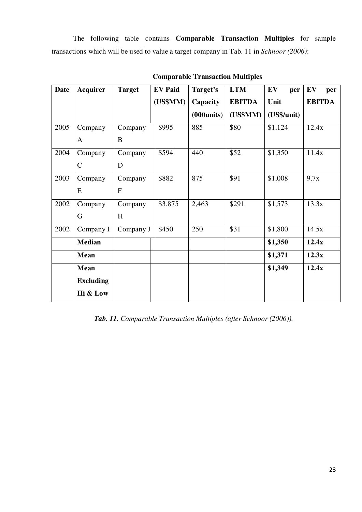The following table contains **Comparable Transaction Multiples** for sample transactions which will be used to value a target company in Tab. 11 in *Schnoor (2006)*:

| <b>Date</b> | <b>Acquirer</b>  | <b>Target</b> | <b>EV Paid</b> | Target's    | <b>LTM</b>    | EV<br>per   | EV<br>per     |
|-------------|------------------|---------------|----------------|-------------|---------------|-------------|---------------|
|             |                  |               | (US\$MM)       | Capacity    | <b>EBITDA</b> | Unit        | <b>EBITDA</b> |
|             |                  |               |                | (000 units) | (US\$MM)      | (US\$/unit) |               |
| 2005        | Company          | Company       | \$995          | 885         | \$80          | \$1,124     | 12.4x         |
|             | $\mathbf{A}$     | B             |                |             |               |             |               |
| 2004        | Company          | Company       | \$594          | 440         | \$52          | \$1,350     | 11.4x         |
|             | $\mathbf C$      | D             |                |             |               |             |               |
| 2003        | Company          | Company       | \$882          | 875         | \$91          | \$1,008     | 9.7x          |
|             | E                | $\mathbf{F}$  |                |             |               |             |               |
| 2002        | Company          | Company       | \$3,875        | 2,463       | \$291         | \$1,573     | 13.3x         |
|             | G                | H             |                |             |               |             |               |
| 2002        | Company I        | Company J     | \$450          | 250         | \$31          | \$1,800     | 14.5x         |
|             | <b>Median</b>    |               |                |             |               | \$1,350     | 12.4x         |
|             | <b>Mean</b>      |               |                |             |               | \$1,371     | 12.3x         |
|             | <b>Mean</b>      |               |                |             |               | \$1,349     | 12.4x         |
|             | <b>Excluding</b> |               |                |             |               |             |               |
|             | Hi & Low         |               |                |             |               |             |               |

**Comparable Transaction Multiples**

*Tab. 11. Comparable Transaction Multiples (after Schnoor (2006)).*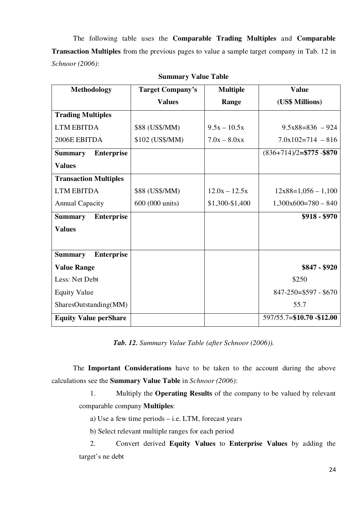The following table uses the **Comparable Trading Multiples** and **Comparable Transaction Multiples** from the previous pages to value a sample target company in Tab. 12 in *Schnoor (2006)*:

| <b>Methodology</b>                  | <b>Target Company's</b> | <b>Multiple</b> | <b>Value</b>                |
|-------------------------------------|-------------------------|-----------------|-----------------------------|
|                                     | <b>Values</b>           | Range           | (US\$ Millions)             |
| <b>Trading Multiples</b>            |                         |                 |                             |
| <b>LTM EBITDA</b>                   | \$88 (US\$/MM)          | $9.5x - 10.5x$  | $9.5x88=836 - 924$          |
| 2006E EBITDA                        | \$102 (US\$/MM)         | $7.0x - 8.0xx$  | $7.0x102=714 - 816$         |
| <b>Enterprise</b><br><b>Summary</b> |                         |                 | $(836+714)/2$ =\$775 -\$870 |
| <b>Values</b>                       |                         |                 |                             |
| <b>Transaction Multiples</b>        |                         |                 |                             |
| <b>LTM EBITDA</b>                   | \$88 (US\$/MM)          | $12.0x - 12.5x$ | $12x88=1,056-1,100$         |
| <b>Annual Capacity</b>              | 600 (000 units)         | \$1,300-\$1,400 | $1,300x600=780-840$         |
| <b>Enterprise</b><br><b>Summary</b> |                         |                 | $$918 - $970$               |
| <b>Values</b>                       |                         |                 |                             |
|                                     |                         |                 |                             |
| <b>Enterprise</b><br><b>Summary</b> |                         |                 |                             |
| <b>Value Range</b>                  |                         |                 | $$847 - $920$               |
| Less: Net Debt                      |                         |                 | \$250                       |
| <b>Equity Value</b>                 |                         |                 | $847 - 250 = $597 - $670$   |
| SharesOutstanding(MM)               |                         |                 | 55.7                        |
| <b>Equity Value perShare</b>        |                         |                 | 597/55.7=\$10.70 -\$12.00   |

| <b>Summary Value Table</b> |  |  |
|----------------------------|--|--|
|----------------------------|--|--|

*Tab. 12. Summary Value Table (after Schnoor (2006)).*

The **Important Considerations** have to be taken to the account during the above calculations see the **Summary Value Table** in *Schnoor (2006)*:

1. Multiply the **Operating Results** of the company to be valued by relevant comparable company **Multiples**:

- a) Use a few time periods i.e. LTM, forecast years
- b) Select relevant multiple ranges for each period

2. Convert derived **Equity Values** to **Enterprise Values** by adding the target's ne debt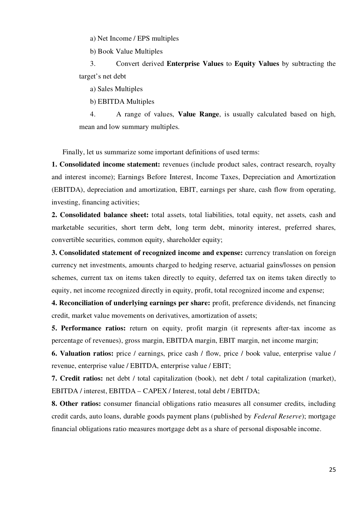a) Net Income / EPS multiples

b) Book Value Multiples

3. Convert derived **Enterprise Values** to **Equity Values** by subtracting the target's net debt

a) Sales Multiples

b) EBITDA Multiples

4. A range of values, **Value Range**, is usually calculated based on high, mean and low summary multiples.

Finally, let us summarize some important definitions of used terms:

**1. Consolidated income statement:** revenues (include product sales, contract research, royalty and interest income); Earnings Before Interest, Income Taxes, Depreciation and Amortization (EBITDA), depreciation and amortization, EBIT, earnings per share, cash flow from operating, investing, financing activities;

**2. Consolidated balance sheet:** total assets, total liabilities, total equity, net assets, cash and marketable securities, short term debt, long term debt, minority interest, preferred shares, convertible securities, common equity, shareholder equity;

**3. Consolidated statement of recognized income and expense:** currency translation on foreign currency net investments, amounts charged to hedging reserve, actuarial gains/losses on pension schemes, current tax on items taken directly to equity, deferred tax on items taken directly to equity, net income recognized directly in equity, profit, total recognized income and expense;

**4. Reconciliation of underlying earnings per share:** profit, preference dividends, net financing credit, market value movements on derivatives, amortization of assets;

**5. Performance ratios:** return on equity, profit margin (it represents after-tax income as percentage of revenues), gross margin, EBITDA margin, EBIT margin, net income margin;

**6. Valuation ratios:** price / earnings, price cash / flow, price / book value, enterprise value / revenue, enterprise value / EBITDA, enterprise value / EBIT;

**7. Credit ratios:** net debt / total capitalization (book), net debt / total capitalization (market), EBITDA / interest, EBITDA – CAPEX / Interest, total debt / EBITDA;

**8. Other ratios:** consumer financial obligations ratio measures all consumer credits, including credit cards, auto loans, durable goods payment plans (published by *Federal Reserve*); mortgage financial obligations ratio measures mortgage debt as a share of personal disposable income.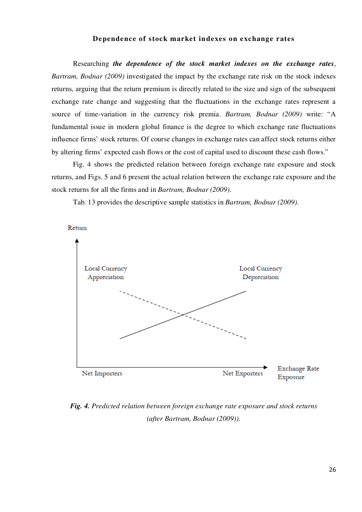### **Dependence of stock market indexes on exchange rates**

Researching *the dependence of the stock market indexes on the exchange rates*, *Bartram, Bodnar (2009)* investigated the impact by the exchange rate risk on the stock indexes returns, arguing that the return premium is directly related to the size and sign of the subsequent exchange rate change and suggesting that the fluctuations in the exchange rates represent a source of time-variation in the currency risk premia. *Bartram, Bodnar (2009)* write: "A fundamental issue in modern global finance is the degree to which exchange rate fluctuations influence firms' stock returns. Of course changes in exchange rates can affect stock returns either by altering firms' expected cash flows or the cost of capital used to discount these cash flows."

Fig. 4 shows the predicted relation between foreign exchange rate exposure and stock returns, and Figs. 5 and 6 present the actual relation between the exchange rate exposure and the stock returns for all the firms and in *Bartram, Bodnar (2009)*.

Tab. 13 provides the descriptive sample statistics in *Bartram, Bodnar (2009)*.



## *Fig. 4. Predicted relation between foreign exchange rate exposure and stock returns (after Bartram, Bodnar (2009)).*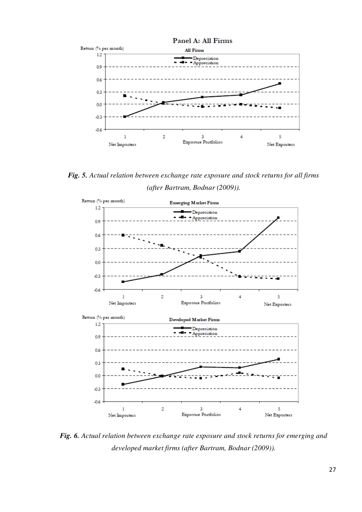

*Fig. 5. Actual relation between exchange rate exposure and stock returns for all firms (after Bartram, Bodnar (2009)).*



*Fig. 6. Actual relation between exchange rate exposure and stock returns for emerging and developed market firms (after Bartram, Bodnar (2009)).*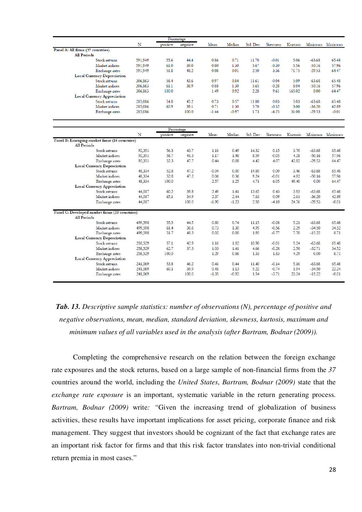| Percentage                                                          |         |          |            |         |         |           |          |          |          |                 |
|---------------------------------------------------------------------|---------|----------|------------|---------|---------|-----------|----------|----------|----------|-----------------|
|                                                                     | N       | positive | negative   | Mean    | Median  | Std. Dev. | Skewness | Kurtosis |          | Minimum Maximum |
| Panel A: All firms (37 countries)                                   |         |          |            |         |         |           |          |          |          |                 |
| <b>All Periods</b>                                                  |         |          |            |         |         |           |          |          |          |                 |
| Stock returns                                                       | 591,949 | 55.6     | 44.4       | 0.86    | 0.71    | 11.70     | $-0.01$  | 5.06     | $-63.68$ | 65.48           |
| Market indices                                                      | 591,949 | 61.0     | 39.0       | 0.80    | 1.30    | 5.67      | $-0.30$  | 5.56     | $-50.16$ | 57.96           |
| Exchange rates                                                      | 591,949 | 51.8     | 48.2       | 0.08    | 0.01    | 2.50      | 3.36     | 71.75    | $-29.53$ | 64.47           |
| <b>Local Currency Depreciation</b>                                  |         |          |            |         |         |           |          |          |          |                 |
| Stock returns                                                       | 306,863 | 56.4     | 43.6       | 0.97    | 0.84    | 11.61     | $-0.04$  | 5.09     | $-63.68$ | 65.48           |
| Market indices                                                      | 306,863 | 61.1     | 38.9       | 0.88    | 1.30    | 5.65      | $-0.28$  | 8.04     | $-50.16$ | 57.96           |
| Exchange rates                                                      | 306,863 | 100.0    |            | 1.49    | 0.92    | 2.28      | 9.61     | 165.02   | 0.00     | 64.47           |
| <b>Local Currency Appreciation</b>                                  |         |          |            |         |         |           |          |          |          |                 |
| Stock returns                                                       | 285,086 | 54.8     | 45.2       | 0.73    | 0.57    | 11.80     | 0.03     | 5.03     | $-63.68$ | 65.48           |
| Market indices                                                      | 285,086 | 60.9     | 39.1       | 0.71    | 1.30    | 5.70      | $-0.32$  | 3.00     | $-36.20$ | 42.89           |
| Exchange rates                                                      | 285,086 |          | 100.0      | $-1.44$ | $-0.97$ | 1.73      | $-4.25$  | 31.00    | $-29.53$ | $-0.01$         |
|                                                                     |         |          |            |         |         |           |          |          |          |                 |
|                                                                     |         |          | Percentage |         |         |           |          |          |          |                 |
|                                                                     | N       | positive | negative   | Mean    | Median  | Std. Dev. | Skewness | Kurtosis | Minimum  | Maximum         |
| Panel B: Emerging market firms (14 countries)<br><b>All Periods</b> |         |          |            |         |         |           |          |          |          |                 |
| Stock returns                                                       | 92,351  | 56.3     | 437        | 1.16    | 0.49    | 14.32     | 0.15     | 3.70     | $-63.68$ | 65.48           |
| Market indices                                                      | 92,351  | 58.7     | 41.3       | 1.17    | 1.48    | 8.59      | $-0.05$  | 4.28     | $-50.16$ | 57.96           |
| Exchange rates                                                      | 92,351  | 52.3     | 47.7       | 0.44    | 0.08    | 4.42      | 4.07     | 42.82    | $-29.53$ | 64.47           |
| <b>Local Currency Depreciation</b>                                  |         |          |            |         |         |           |          |          |          |                 |
| Stock returns                                                       | 48.334  | 52.8     | 47.2       | $-0.04$ | 0.00    | 14.80     | 0.00     | 3.46     | $-63.68$ | 65.48           |
| Market indices                                                      | 48,334  | 52.8     | 47.2       | 0.06    | 0.36    | 9.24      | $-0.01$  | 4.82     | $-50.16$ | 57.96           |
| Exchange rates                                                      | 48,334  | 100.0    |            | 2.57    | 1.25    | 4.71      | 6.05     | 49.40    | 0.00     | 64.47           |
| <b>Local Currency Appreciation</b>                                  |         |          |            |         |         |           |          |          |          |                 |
| Stock returns                                                       | 44,017  | 60.2     | 39.8       | 2.49    | 1.41    | 13.65     | 0.43     | 3.93     | $-63.68$ | 65.48           |
| Market indices                                                      | 44,017  | 65.1     | 34.9       | 2.37    | 2.44    | 7.63      | 0.09     | 2.61     | $-36.20$ | 42.89           |
| Exchange rates                                                      | 44,017  |          | 100.0      | $-1.90$ | $-1.23$ | 2.50      | $-4.10$  | 24.76    | $-29.53$ | $-0.01$         |
| Panel C: Developed market firms (23 countries)                      |         |          |            |         |         |           |          |          |          |                 |
| <b>All Periods</b>                                                  |         |          |            |         |         |           |          |          |          |                 |
| Stock returns                                                       | 499,598 | 55.5     | 44.5       | 0.80    | 0.74    | 11.15     | $-0.08$  | 5.21     | $-63.68$ | 65.48           |
| Market indices                                                      | 499,598 | 61.4     | 38.6       | 0.73    | 1.30    | 4.95      | $-0.56$  | 2.29     | $-34.50$ | 34.52           |
| Exchange rates                                                      | 499,598 | 51.7     | 48.3       | 0.02    | 0.00    | 1.95      | $-0.77$  | 7.70     | $-15.22$ | 8.71            |
| <b>Local Currency Depreciation</b>                                  |         |          |            |         |         |           |          |          |          |                 |
| Stock returns                                                       | 258,529 | 57.1     | 42.9       | 1.16    | 1.02    | 10.90     | $-0.01$  | 5.24     | $-63.68$ | 65.48           |
| Market indices                                                      | 258,529 | 62.7     | 37.3       | 1.03    | 1.41    | 4.66      | $-0.28$  | 2.50     | $-32.71$ | 34.52           |
| Exchange rates                                                      | 258,529 | 100.0    |            | 1 29    | 0.86    | 1.33      | 1.83     | 4.29     | 0.00     | 8.71            |
| Local Currency Appreciation                                         |         |          |            |         |         |           |          |          |          |                 |
| Stock returns                                                       | 241,069 | 53.8     | 46.2       | 0.41    | 0.44    | 11.40     | $-0.14$  | 5.16     | $-63.68$ | 65.48           |
| Market indices                                                      | 241,069 | 60.1     | 39.9       | 0.41    | 1.13    | 5.22      | $-0.74$  | 1.94     | $-34.50$ | 22.24           |
| Exchange rates                                                      | 241,069 |          | 100.0      | $-1.35$ | $-0.92$ | 1.54      | $-3.71$  | 23.24    | $-15.22$ | $-0.01$         |

## *Tab. 13. Descriptive sample statistics: number of observations (N), percentage of positive and negative observations, mean, median, standard deviation, skewness, kurtosis, maximum and minimum values of all variables used in the analysis (after Bartram, Bodnar (2009)).*

Completing the comprehensive research on the relation between the foreign exchange rate exposures and the stock returns, based on a large sample of non-financial firms from the *37* countries around the world, including the *United States*, *Bartram, Bodnar (2009)* state that the *exchange rate exposure* is an important, systematic variable in the return generating process. *Bartram, Bodnar (2009)* write*: "*Given the increasing trend of globalization of business activities, these results have important implications for asset pricing, corporate finance and risk management. They suggest that investors should be cognizant of the fact that exchange rates are an important risk factor for firms and that this risk factor translates into non-trivial conditional return premia in most cases."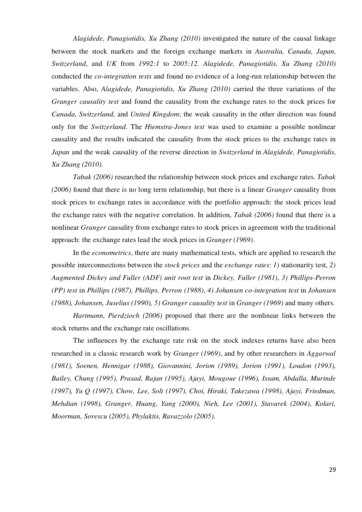*Alagidede, Panagiotidis, Xu Zhang (2010)* investigated the nature of the causal linkage between the stock markets and the foreign exchange markets in *Australia, Canada, Japan, Switzerland*, and *UK* from *1992:1* to *2005:12*. *Alagidede, Panagiotidis, Xu Zhang (2010)* conducted the *co-integration tests* and found no evidence of a long-run relationship between the variables. Also, *Alagidede, Panagiotidis, Xu Zhang (2010)* carried the three variations of the *Granger causality test* and found the causality from the exchange rates to the stock prices for *Canada, Switzerland,* and *United Kingdom*; the weak causality in the other direction was found only for the *Switzerland*. The *Hiemstra-Jones test* was used to examine a possible nonlinear causality and the results indicated the causality from the stock prices to the exchange rates in *Japan* and the weak causality of the reverse direction in *Switzerland* in *Alagidede, Panagiotidis, Xu Zhang (2010).* 

*Tabak (2006)* researched the relationship between stock prices and exchange rates. *Tabak (2006)* found that there is no long term relationship, but there is a linear *Granger* causality from stock prices to exchange rates in accordance with the portfolio approach: the stock prices lead the exchange rates with the negative correlation. In addition, *Tabak (2006)* found that there is a nonlinear *Granger* causality from exchange rates to stock prices in agreement with the traditional approach: the exchange rates lead the stock prices in *Granger (1969)*.

In the *econometrics*, there are many mathematical tests, which are applied to research the possible interconnections between the *stock prices* and the *exchange rates*: *1)* stationarity test, *2) Augmented Dickey and Fuller (ADF) unit root test* in *Dickey, Fuller (1981)*, *3) Phillips-Perron (PP) test* in *Phillips (1987), Phillips, Perron (1988)*, *4) Johansen co-integration test* in *Johansen (1988), Johansen, Juselius (1990), 5) Granger causality test* in *Granger (1969)* and many others.

*Hartmann, Pierdzioch (2006)* proposed that there are the nonlinear links between the stock returns and the exchange rate oscillations.

The influences by the exchange rate risk on the stock indexes returns have also been researched in a classic research work by *Granger (1969)*, and by other researchers in *Aggarwal (1981), Soenen, Hennigar (1988), Giovannini, Jorion (1989), Jorion (1991), Loudon (1993), Bailey, Chung (1995), Prasad, Rajan (1995), Ajayi, Mougoue (1996), Issam, Abdalla, Murinde (1997), Yu Q (1997), Chow, Lee, Solt (1997), Choi, Hiraki, Takezawa (1998), Ajayi, Friedman, Mehdian (1998), Granger, Huang, Yang (2000), Nieh, Lee (2001), Stavarek (2004)*, *Kolari, Moorman, Sorescu (2005), Phylaktis, Ravazzolo (2005).*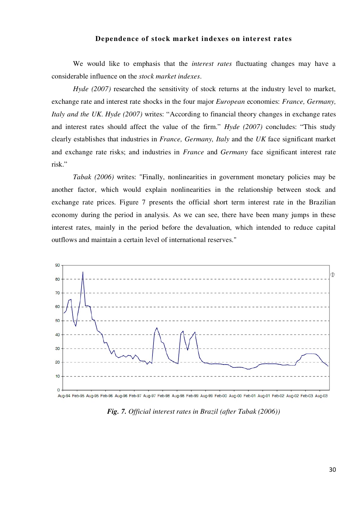#### **Dependence of stock market indexes on interest rates**

We would like to emphasis that the *interest rates* fluctuating changes may have a considerable influence on the *stock market indexes*.

*Hyde (2007)* researched the sensitivity of stock returns at the industry level to market, exchange rate and interest rate shocks in the four major *European* economies: *France, Germany, Italy and the UK. Hyde (2007)* writes: "According to financial theory changes in exchange rates and interest rates should affect the value of the firm." *Hyde (2007)* concludes: "This study clearly establishes that industries in *France, Germany, Italy* and the *UK* face significant market and exchange rate risks; and industries in *France* and *Germany* face significant interest rate risk."

*Tabak (2006)* writes: "Finally, nonlinearities in government monetary policies may be another factor, which would explain nonlinearities in the relationship between stock and exchange rate prices. Figure 7 presents the official short term interest rate in the Brazilian economy during the period in analysis. As we can see, there have been many jumps in these interest rates, mainly in the period before the devaluation, which intended to reduce capital outflows and maintain a certain level of international reserves."





*Fig. 7. Official interest rates in Brazil (after Tabak (2006))*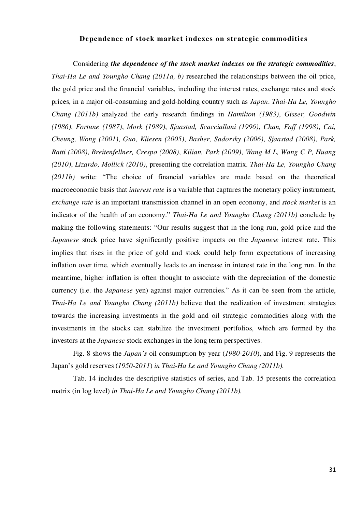#### **Dependence of stock market indexes on strategic commodities**

Considering *the dependence of the stock market indexes on the strategic commodities*, *Thai-Ha Le and Youngho Chang (2011a, b)* researched the relationships between the oil price, the gold price and the financial variables, including the interest rates, exchange rates and stock prices, in a major oil-consuming and gold-holding country such as *Japan*. *Thai-Ha Le, Youngho Chang (2011b)* analyzed the early research findings in *Hamilton (1983)*, *Gisser, Goodwin (1986)*, *Fortune (1987)*, *Mork (1989)*, *Sjaastad, Scacciallani (1996)*, *Chan, Faff (1998)*, *Cai, Cheung, Wong (2001)*, *Guo, Kliesen (2005)*, *Basher, Sadorsky (2006)*, *Sjaastad (2008)*, *Park, Ratti (2008)*, *Breitenfellner, Crespo (2008)*, *Kilian, Park (2009)*, *Wang M L, Wang C P, Huang (2010)*, *Lizardo, Mollick (2010)*, presenting the correlation matrix. *Thai-Ha Le, Youngho Chang (2011b)* write: "The choice of financial variables are made based on the theoretical macroeconomic basis that *interest rate* is a variable that captures the monetary policy instrument, *exchange rate* is an important transmission channel in an open economy, and *stock market* is an indicator of the health of an economy." *Thai-Ha Le and Youngho Chang (2011b)* conclude by making the following statements: "Our results suggest that in the long run, gold price and the *Japanese* stock price have significantly positive impacts on the *Japanese* interest rate. This implies that rises in the price of gold and stock could help form expectations of increasing inflation over time, which eventually leads to an increase in interest rate in the long run. In the meantime, higher inflation is often thought to associate with the depreciation of the domestic currency (i.e. the *Japanese* yen) against major currencies." As it can be seen from the article, *Thai-Ha Le and Youngho Chang (2011b)* believe that the realization of investment strategies towards the increasing investments in the gold and oil strategic commodities along with the investments in the stocks can stabilize the investment portfolios, which are formed by the investors at the *Japanese* stock exchanges in the long term perspectives.

Fig. 8 shows the *Japan's* oil consumption by year (*1980-2010*), and Fig. 9 represents the Japan's gold reserves (*1950-2011*) *in Thai-Ha Le and Youngho Chang (2011b).* 

Tab. 14 includes the descriptive statistics of series, and Tab. 15 presents the correlation matrix (in log level) *in Thai-Ha Le and Youngho Chang (2011b).*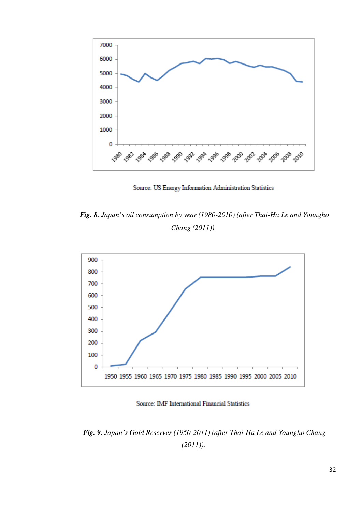

Source: US Energy Information Administration Statistics

*Fig. 8. Japan's oil consumption by year (1980-2010) (after Thai-Ha Le and Youngho Chang (2011)).* 



Source: IMF International Financial Statistics

*Fig. 9. Japan's Gold Reserves (1950-2011) (after Thai-Ha Le and Youngho Chang*   $(2011)$ ).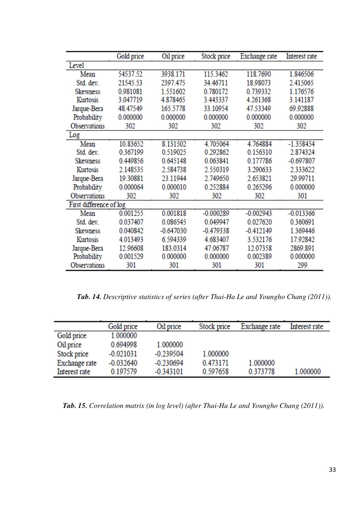|                         | Gold price | Oil price   | Stock price | Exchange rate | Interest rate |
|-------------------------|------------|-------------|-------------|---------------|---------------|
| Level                   |            |             |             |               |               |
| Mean                    | 54537.52   | 3938.171    | 115.3462    | 118.7690      | 1.846506      |
| Std. dev.               | 21545.53   | 2397.475    | 34.46711    | 18.98073      | 2.415065      |
| <b>Skewness</b>         | 0.981081   | 1.551602    | 0.780172    | 0.739332      | 1.176576      |
| Kurtosis                | 3.047719   | 4.878465    | 3.443337    | 4.261368      | 3.141187      |
| Jarque-Bera             | 48.47549   | 165.5778    | 33.10954    | 47.53349      | 69.92888      |
| Probability             | 0.000000   | 0.000000    | 0.000000    | 0.000000      | 0.000000      |
| Observations            | 302        | 302         | 302         | 302           | 302           |
| Log                     |            |             |             |               |               |
| Mean                    | 10.83652   | 8.131502    | 4.705064    | 4.764884      | $-1.358454$   |
| Std. dev.               | 0.367199   | 0.519025    | 0.292862    | 0.156310      | 2.874324      |
| <b>Skewness</b>         | 0.449856   | 0.645148    | 0.063841    | 0.177786      | $-0.697807$   |
| Kurtosis                | 2.148535   | 2.584738    | 2.550319    | 3.290633      | 2.333622      |
| Jarque-Bera             | 19.30881   | 23.11944    | 2.749650    | 2.653821      | 29.99711      |
| Probability             | 0.000064   | 0.000010    | 0.252884    | 0.265296      | 0.000000      |
| Observations            | 302        | 302         | 302         | 302           | 301           |
| First difference of log |            |             |             |               |               |
| Mean                    | 0.001255   | 0.001818    | $-0.000289$ | $-0.002943$   | $-0.013366$   |
| Std. dev.               | 0.037407   | 0.086545    | 0.049947    | 0.027620      | 0.360691      |
| <b>Skewness</b>         | 0.040842   | $-0.647030$ | $-0.479338$ | $-0.412149$   | 1.369446      |
| Kurtosis                | 4.013493   | 6.594339    | 4.683407    | 3.532176      | 17.92842      |
| Jarque-Bera             | 12.96608   | 183.0314    | 47.06787    | 12.07358      | 2869.891      |
| Probability             | 0.001529   | 0.000000    | 0.000000    | 0.002389      | 0.000000      |
| Observations            | 301        | 301         | 301         | 301           | 299           |

*Tab. 14. Descriptive statistics of series (after Thai-Ha Le and Youngho Chang (2011)).* 

|               | Gold price  | Oil price   | Stock price | Exchange rate | Interest rate |
|---------------|-------------|-------------|-------------|---------------|---------------|
| Gold price    | 1.000000    |             |             |               |               |
| Oil price     | 0.694998    | 1.000000    |             |               |               |
| Stock price   | $-0.021031$ | $-0.239504$ | 1.000000    |               |               |
| Exchange rate | $-0.032640$ | $-0.230694$ | 0.473171    | 1.000000      |               |
| Interest rate | 0.197579    | $-0.343101$ | 0.597658    | 0.373778      | 1.000000      |

*Tab. 15. Correlation matrix (in log level) (after Thai-Ha Le and Youngho Chang (2011)).*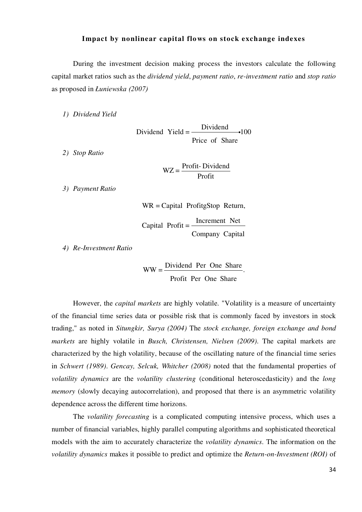#### **Impact by nonlinear capital flows on stock exchange indexes**

During the investment decision making process the investors calculate the following capital market ratios such as the *dividend yield*, *payment ratio*, *re-investment ratio* and *stop ratio* as proposed in *Łuniewska (2007)*

*1) Dividend Yield*

Dividend Yield  $=$  Dividend  $\cdot$ 100 Price of Share

*2) Stop Ratio*

$$
WZ = \frac{Profit - Dividend}{Profit}
$$

*3) Payment Ratio*

WR = Capital ProfitgStop Return,

Capital Profit  $=$   $\frac{\text{Increment Net}}{\text{[I]}}$ Company Capital

*4) Re-Investment Ratio*

$$
WW = \frac{Dividend \text{ Per One Share}}{\text{Profit Per One Share}}.
$$

However, the *capital markets* are highly volatile. "Volatility is a measure of uncertainty of the financial time series data or possible risk that is commonly faced by investors in stock trading," as noted in *Situngkir, Surya (2004)* The *stock exchange, foreign exchange and bond markets* are highly volatile in *Busch, Christensen, Nielsen (2009)*. The capital markets are characterized by the high volatility, because of the oscillating nature of the financial time series in *Schwert (1989)*. *Gencay, Selcuk, Whitcher (2008)* noted that the fundamental properties of *volatility dynamics* are the *volatility clustering* (conditional heteroscedasticity) and the *long memory* (slowly decaying autocorrelation), and proposed that there is an asymmetric volatility dependence across the different time horizons.

The *volatility forecasting* is a complicated computing intensive process, which uses a number of financial variables, highly parallel computing algorithms and sophisticated theoretical models with the aim to accurately characterize the *volatility dynamics*. The information on the *volatility dynamics* makes it possible to predict and optimize the *Return-on-Investment (ROI)* of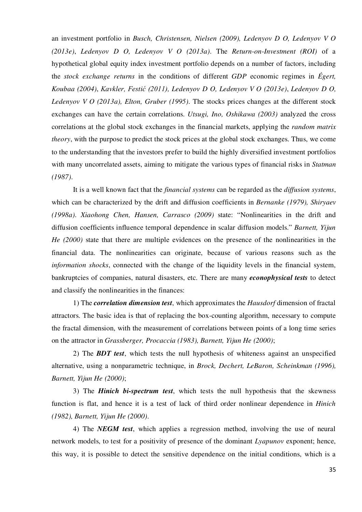an investment portfolio in *Busch, Christensen, Nielsen (2009), Ledenyov D O, Ledenyov V O (2013e)*, *Ledenyov D O, Ledenyov V O (2013a)*. The *Return-on-Investment (ROI)* of a hypothetical global equity index investment portfolio depends on a number of factors, including the *stock exchange returns* in the conditions of different *GDP* economic regimes in *Égert, Koubaa (2004)*, *Kavkler, Festić (2011), Ledenyov D O, Ledenyov V O (2013e)*, *Ledenyov D O, Ledenyov V O (2013a), Elton, Gruber (1995)*. The stocks prices changes at the different stock exchanges can have the certain correlations. *Utsugi, Ino, Oshikawa (2003)* analyzed the cross correlations at the global stock exchanges in the financial markets, applying the *random matrix theory*, with the purpose to predict the stock prices at the global stock exchanges. Thus, we come to the understanding that the investors prefer to build the highly diversified investment portfolios with many uncorrelated assets, aiming to mitigate the various types of financial risks in *Statman (1987)*.

It is a well known fact that the *financial systems* can be regarded as the *diffusion systems*, which can be characterized by the drift and diffusion coefficients in *Bernanke (1979), Shiryaev (1998a)*. *Xiaohong Chen, Hansen, Carrasco (2009)* state: "Nonlinearities in the drift and diffusion coefficients influence temporal dependence in scalar diffusion models." *Barnett, Yijun He (2000)* state that there are multiple evidences on the presence of the nonlinearities in the financial data. The nonlinearities can originate, because of various reasons such as the *information shocks*, connected with the change of the liquidity levels in the financial system, bankruptcies of companies, natural disasters, etc. There are many *econophysical tests* to detect and classify the nonlinearities in the finances:

1) The *correlation dimension test*, which approximates the *Hausdorf* dimension of fractal attractors. The basic idea is that of replacing the box-counting algorithm, necessary to compute the fractal dimension, with the measurement of correlations between points of a long time series on the attractor in *Grassberger, Procaccia (1983), Barnett, Yijun He (2000)*;

2) The *BDT test*, which tests the null hypothesis of whiteness against an unspecified alternative, using a nonparametric technique, in *Brock, Dechert, LeBaron, Scheinkman (1996), Barnett, Yijun He (2000)*;

3) The *Hinich bi-spectrum test*, which tests the null hypothesis that the skewness function is flat, and hence it is a test of lack of third order nonlinear dependence in *Hinich (1982), Barnett, Yijun He (2000)*.

4) The *NEGM test*, which applies a regression method, involving the use of neural network models, to test for a positivity of presence of the dominant *Lyapunov* exponent; hence, this way, it is possible to detect the sensitive dependence on the initial conditions, which is a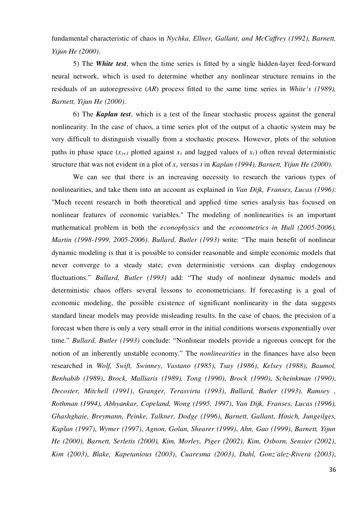fundamental characteristic of chaos in *Nychka, Ellner, Gallant, and McCaffrey (1992), Barnett, Yijun He (2000)*.

5) The *White test*, when the time series is fitted by a single hidden-layer feed-forward neural network, which is used to determine whether any nonlinear structure remains in the residuals of an autoregressive (*AR*) process fitted to the same time series in *White's (1989), Barnett, Yijun He (2000)*.

6) The *Kaplan test*, which is a test of the linear stochastic process against the general nonlinearity. In the case of chaos, a time series plot of the output of a chaotic system may be very difficult to distinguish visually from a stochastic process. However, plots of the solution paths in phase space  $(x_{t+1}$  plotted against  $x_t$  and lagged values of  $x_t$ ) often reveal deterministic structure that was not evident in a plot of *x<sup>t</sup>* versus *t* in *Kaplan (1994), Barnett, Yijun He (2000)*.

We can see that there is an increasing necessity to research the various types of nonlinearities, and take them into an account as explained in *Van Dijk, Franses, Lucas (1996)*: "Much recent research in both theoretical and applied time series analysis has focused on nonlinear features of economic variables." The modeling of nonlinearities is an important mathematical problem in both the *econophysics* and the *econometrics in Hull (2005-2006), Martin (1998-1999, 2005-2006)*. *Bullard, Butler (1993)* write: "The main benefit of nonlinear dynamic modeling is that it is possible to consider reasonable and simple economic models that never converge to a steady state; even deterministic versions can display endogenous fluctuations." *Bullard, Butler (1993)* add: "The study of nonlinear dynamic models and deterministic chaos offers several lessons to econometricians. If forecasting is a goal of economic modeling, the possible existence of significant nonlinearity in the data suggests standard linear models may provide misleading results. In the case of chaos, the precision of a forecast when there is only a very small error in the initial conditions worsens exponentially over time." *Bullard, Butler (1993)* conclude: "Nonlinear models provide a rigorous concept for the notion of an inherently unstable economy." The *nonlinearities* in the finances have also been researched in *Wolf, Swift, Swinney, Vastano (1985)*, *Tsay (1986)*, *Kelsey (1988)*, *Baumol, Benhabib (1989)*, *Brock, Malliaris (1989), Tong (1990)*, *Brock (1990)*, *Scheinkman (1990)*, *Decoster, Mitchell (1991)*, *Granger, Terasvirta (1993)*, *Bullard, Butler (1993), Ramsey , Rothman (1994), Abhyankar, Copeland, Wong (1995, 1997)*, *Van Dijk, Franses, Lucas (1996), Ghashghaie, Breymann, Peinke, Talkner, Dodge (1996)*, *Barnett, Gallant, Hinich, Jungeilges, Kaplan (1997)*, *Wymer (1997)*, *Agnon, Golan, Shearer (1999)*, *Ahn, Gao (1999)*, *Barnett, Yijun He (2000), Barnett, Serletis (2000), Kim, Morley, Piger (2002), Kim, Osborn, Sensier (2002)*, *Kim (2003)*, *Blake, Kapetanious (2003)*, *Cuaresma (2003)*, *Dahl, Gonz´alez-Rivera (2003)*,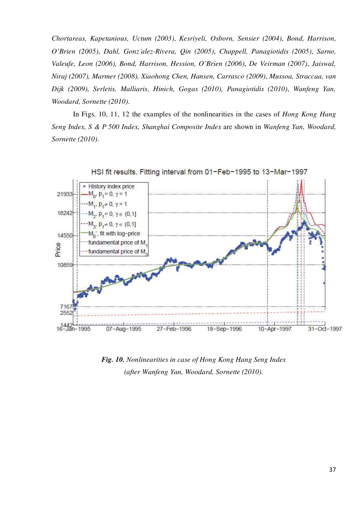*Chortareas, Kapetanious, Uctum (2003)*, *Kesriyeli, Osborn, Sensier (2004)*, *Bond, Harrison, O'Brien (2005)*, *Dahl, Gonz´alez-Rivera, Qin (2005)*, *Chappell, Panagiotidis (2005)*, *Sarno, Valeufe, Leon (2006), Bond, Harrison, Hession, O'Brien (2006)*, *De Veirman (2007)*, *Jaiswal, Niraj (2007), Marmer (2008), Xiaohong Chen, Hansen, Carrasco (2009)*, *Mussoa, Straccaa, van Dijk (2009), Serletis, Malliaris, Hinich, Gogas (2010), Panagiotidis (2010)*, *Wanfeng Yan, Woodard, Sornette (2010)*.

In Figs. 10, 11, 12 the examples of the nonlinearities in the cases of *Hong Kong Hang Seng Index, S & P 500 Index, Shanghai Composite Index* are shown in *Wanfeng Yan, Woodard, Sornette (2010)*.



*Fig. 10. Nonlinearities in case of Hong Kong Hang Seng Index (after Wanfeng Yan, Woodard, Sornette (2010).*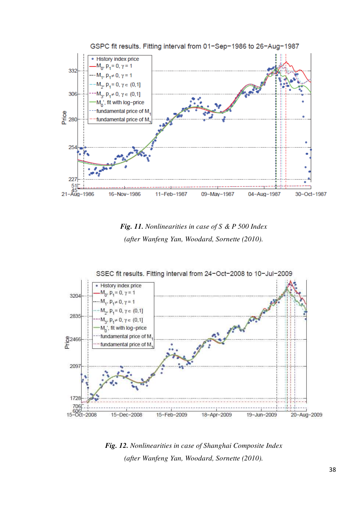





*Fig. 12. Nonlinearities in case of Shanghai Composite Index (after Wanfeng Yan, Woodard, Sornette (2010).*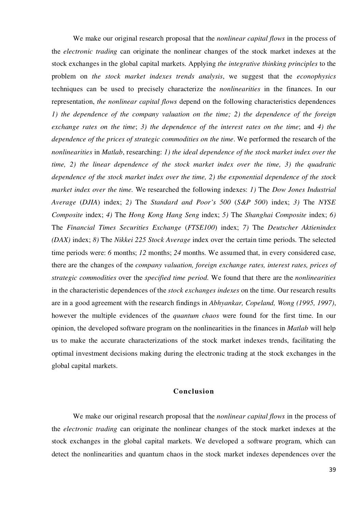We make our original research proposal that the *nonlinear capital flows* in the process of the *electronic trading* can originate the nonlinear changes of the stock market indexes at the stock exchanges in the global capital markets. Applying *the integrative thinking principles* to the problem on *the stock market indexes trends analysis*, we suggest that the *econophysics* techniques can be used to precisely characterize the *nonlinearities* in the finances. In our representation, *the nonlinear capital flows* depend on the following characteristics dependences *1) the dependence of the company valuation on the time; 2) the dependence of the foreign exchange rates on the time*; *3) the dependence of the interest rates on the time*; and *4) the dependence of the prices of strategic commodities on the time*. We performed the research of the *nonlinearities* in *Matlab*, researching: *1) the ideal dependence of the stock market index over the time, 2) the linear dependence of the stock market index over the time, 3) the quadratic dependence of the stock market index over the time, 2) the exponential dependence of the stock market index over the time.* We researched the following indexes: *1)* The *Dow Jones Industrial Average* (*DJIA*) index; *2)* The *Standard and Poor's 500* (*S&P 500*) index; *3)* The *NYSE Composite* index; *4)* The *Hong Kong Hang Seng* index; *5)* The *Shanghai Composite* index; *6)* The *Financial Times Securities Exchange* (*FTSE100*) index; *7)* The *Deutscher Aktienindex (DAX)* index; *8)* The *Nikkei 225 Stock Average* index over the certain time periods. The selected time periods were: *6* months; *12* months; *24* months. We assumed that, in every considered case, there are the changes of the *company valuation, foreign exchange rates, interest rates, prices of strategic commodities* over the *specified time period.* We found that there are the *nonlinearities* in the characteristic dependences of the *stock exchanges indexes* on the time. Our research results are in a good agreement with the research findings in *Abhyankar, Copeland, Wong (1995, 1997)*, however the multiple evidences of the *quantum chaos* were found for the first time. In our opinion, the developed software program on the nonlinearities in the finances in *Matlab* will help us to make the accurate characterizations of the stock market indexes trends, facilitating the optimal investment decisions making during the electronic trading at the stock exchanges in the global capital markets.

#### **Conclusion**

We make our original research proposal that the *nonlinear capital flows* in the process of the *electronic trading* can originate the nonlinear changes of the stock market indexes at the stock exchanges in the global capital markets. We developed a software program, which can detect the nonlinearities and quantum chaos in the stock market indexes dependences over the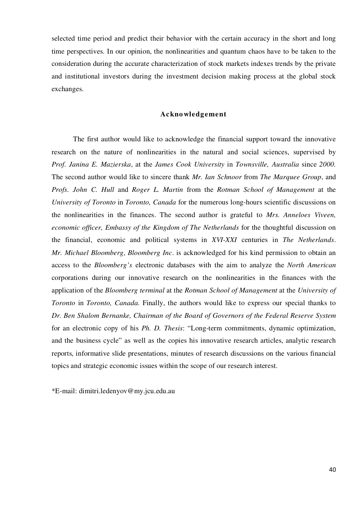selected time period and predict their behavior with the certain accuracy in the short and long time perspectives. In our opinion, the nonlinearities and quantum chaos have to be taken to the consideration during the accurate characterization of stock markets indexes trends by the private and institutional investors during the investment decision making process at the global stock exchanges.

#### **Acknowledgement**

The first author would like to acknowledge the financial support toward the innovative research on the nature of nonlinearities in the natural and social sciences, supervised by *Prof. Janina E. Mazierska*, at the *James Cook University* in *Townsville, Australia* since *2000.* The second author would like to sincere thank *Mr. Ian Schnoor* from *The Marquee Group*, and *Profs. John C. Hull* and *Roger L. Martin* from the *Rotman School of Management* at the *University of Toronto* in *Toronto, Canada* for the numerous long-hours scientific discussions on the nonlinearities in the finances. The second author is grateful to *Mrs. Anneloes Viveen, economic officer, Embassy of the Kingdom of The Netherlands* for the thoughtful discussion on the financial, economic and political systems in *XVI-XXI* centuries in *The Netherlands*. *Mr. Michael Bloomberg*, *Bloomberg Inc*. is acknowledged for his kind permission to obtain an access to the *Bloomberg's* electronic databases with the aim to analyze the *North American*  corporations during our innovative research on the nonlinearities in the finances with the application of the *Bloomberg terminal* at the *Rotman School of Management* at the *University of Toronto* in *Toronto, Canada.* Finally, the authors would like to express our special thanks to *Dr. Ben Shalom Bernanke, Chairman of the Board of Governors of the Federal Reserve System*  for an electronic copy of his *Ph. D. Thesis*: "Long-term commitments, dynamic optimization, and the business cycle" as well as the copies his innovative research articles, analytic research reports, informative slide presentations, minutes of research discussions on the various financial topics and strategic economic issues within the scope of our research interest.

\*E-mail: dimitri.ledenyov@my.jcu.edu.au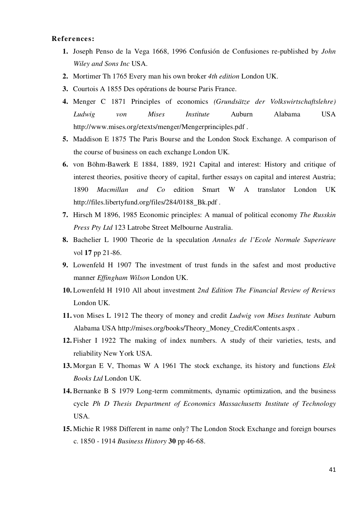#### **References:**

- **1.** Joseph Penso de la Vega 1668, 1996 Confusión de Confusiones re-published by *John Wiley and Sons Inc* USA.
- **2.** Mortimer Th 1765 Every man his own broker *4th edition* London UK.
- **3.** Courtois A 1855 Des opérations de bourse Paris France.
- **4.** Menger C 1871 Principles of economics *(Grundsätze der Volkswirtschaftslehre) Ludwig von Mises Institute* Auburn Alabama USA http://www.mises.org/etexts/menger/Mengerprinciples.pdf .
- **5.** Maddison E 1875 The Paris Bourse and the London Stock Exchange. A comparison of the course of business on each exchange London UK.
- **6.** von Böhm-Bawerk E 1884, 1889, 1921 Capital and interest: History and critique of interest theories, positive theory of capital, further essays on capital and interest Austria; 1890 *Macmillan and Co* edition Smart W A translator London UK http://files.libertyfund.org/files/284/0188\_Bk.pdf .
- **7.** Hirsch M 1896, 1985 Economic principles: A manual of political economy *The Russkin Press Pty Ltd* 123 Latrobe Street Melbourne Australia.
- **8.** Bachelier L 1900 Theorie de la speculation *Annales de l'Ecole Normale Superieure*  vol **17** pp 21-86.
- **9.** Lowenfeld H 1907 The investment of trust funds in the safest and most productive manner *Effingham Wilson* London UK.
- **10.** Lowenfeld H 1910 All about investment *2nd Edition The Financial Review of Reviews* London UK.
- **11.** von Mises L 1912 The theory of money and credit *Ludwig von Mises Institute* Auburn Alabama USA http://mises.org/books/Theory\_Money\_Credit/Contents.aspx .
- **12.** Fisher I 1922 The making of index numbers. A study of their varieties, tests, and reliability New York USA.
- **13.** Morgan E V, Thomas W A 1961 The stock exchange, its history and functions *Elek Books Ltd* London UK.
- **14.** Bernanke B S 1979 Long-term commitments, dynamic optimization, and the business cycle *Ph D Thesis Department of Economics Massachusetts Institute of Technology* USA.
- **15.** Michie R 1988 Different in name only? The London Stock Exchange and foreign bourses c. 1850 - 1914 *Business History* **30** pp 46-68.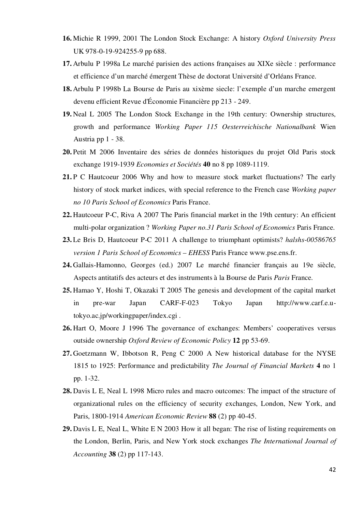- **16.** Michie R 1999, 2001 The London Stock Exchange: A history *Oxford University Press* UK 978-0-19-924255-9 pp 688.
- **17.** Arbulu P 1998a Le marché parisien des actions françaises au XIXe siècle : performance et efficience d'un marché émergent Thèse de doctorat Université d'Orléans France.
- **18.** Arbulu P 1998b La Bourse de Paris au xixème siecle: l'exemple d'un marche emergent devenu efficient Revue d'Économie Financière pp 213 - 249.
- **19.** Neal L 2005 The London Stock Exchange in the 19th century: Ownership structures, growth and performance *Working Paper 115 Oesterreichische Nationalbank* Wien Austria pp 1 - 38.
- **20.** Petit M 2006 Inventaire des séries de données historiques du projet Old Paris stock exchange 1919-1939 *Economies et Sociétés* **40** no 8 pp 1089-1119.
- **21.** P C Hautcoeur 2006 Why and how to measure stock market fluctuations? The early history of stock market indices, with special reference to the French case *Working paper no 10 Paris School of Economics* Paris France.
- **22.** Hautcoeur P-C, Riva A 2007 The Paris financial market in the 19th century: An efficient multi-polar organization ? *Working Paper no.31 Paris School of Economics* Paris France.
- **23.** Le Bris D, Hautcoeur P-C 2011 A challenge to triumphant optimists? *halshs-00586765 version 1 Paris School of Economics – EHESS* Paris France www.pse.ens.fr.
- **24.** Gallais-Hamonno, Georges (ed.) 2007 Le marché financier français au 19e siècle, Aspects antitatifs des acteurs et des instruments à la Bourse de Paris *Paris* France.
- **25.** Hamao Y, Hoshi T, Okazaki T 2005 The genesis and development of the capital market in pre-war Japan CARF-F-023 Tokyo Japan http://www.carf.e.utokyo.ac.jp/workingpaper/index.cgi .
- **26.** Hart O, Moore J 1996 The governance of exchanges: Members' cooperatives versus outside ownership *Oxford Review of Economic Policy* **12** pp 53-69.
- **27.** Goetzmann W, Ibbotson R, Peng C 2000 A New historical database for the NYSE 1815 to 1925: Performance and predictability *The Journal of Financial Markets* **4** no 1 pp. 1-32.
- **28.** Davis L E, Neal L 1998 Micro rules and macro outcomes: The impact of the structure of organizational rules on the efficiency of security exchanges, London, New York, and Paris, 1800-1914 *American Economic Review* **88** (2) pp 40-45.
- **29.** Davis L E, Neal L, White E N 2003 How it all began: The rise of listing requirements on the London, Berlin, Paris, and New York stock exchanges *The International Journal of Accounting* **38** (2) pp 117-143.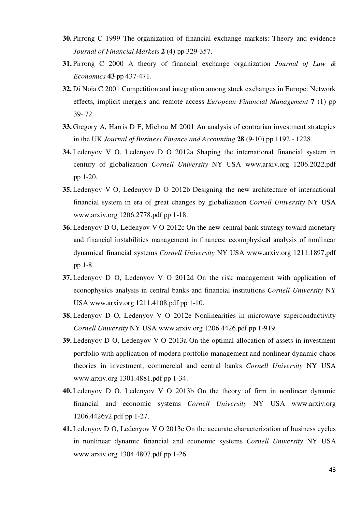- **30.** Pirrong C 1999 The organization of financial exchange markets: Theory and evidence *Journal of Financial Markets* **2** (4) pp 329-357.
- **31.** Pirrong C 2000 A theory of financial exchange organization *Journal of Law & Economics* **43** pp 437-471.
- **32.** Di Noia C 2001 Competition and integration among stock exchanges in Europe: Network effects, implicit mergers and remote access *European Financial Management* **7** (1) pp 39- 72.
- **33.** Gregory A, Harris D F, Michou M 2001 An analysis of contrarian investment strategies in the UK *Journal of Business Finance and Accounting* **28** (9-10) pp 1192 - 1228.
- **34.** Ledenyov V O, Ledenyov D O 2012a Shaping the international financial system in century of globalization *Cornell University* NY USA www.arxiv.org 1206.2022.pdf pp 1-20.
- **35.** Ledenyov V O, Ledenyov D O 2012b Designing the new architecture of international financial system in era of great changes by globalization *Cornell University* NY USA www.arxiv.org 1206.2778.pdf pp 1-18.
- **36.** Ledenyov D O, Ledenyov V O 2012c On the new central bank strategy toward monetary and financial instabilities management in finances: econophysical analysis of nonlinear dynamical financial systems *Cornell University* NY USA www.arxiv.org 1211.1897.pdf pp 1-8.
- **37.** Ledenyov D O, Ledenyov V O 2012d On the risk management with application of econophysics analysis in central banks and financial institutions *Cornell University* NY USA www.arxiv.org 1211.4108.pdf pp 1-10.
- **38.** Ledenyov D O, Ledenyov V O 2012e Nonlinearities in microwave superconductivity *Cornell University* NY USA www.arxiv.org 1206.4426.pdf pp 1-919.
- **39.** Ledenyov D O, Ledenyov V O 2013a On the optimal allocation of assets in investment portfolio with application of modern portfolio management and nonlinear dynamic chaos theories in investment, commercial and central banks *Cornell University* NY USA www.arxiv.org 1301.4881.pdf pp 1-34.
- **40.** Ledenyov D O, Ledenyov V O 2013b On the theory of firm in nonlinear dynamic financial and economic systems *Cornell University* NY USA www.arxiv.org 1206.4426v2.pdf pp 1-27.
- **41.** Ledenyov D O, Ledenyov V O 2013c On the accurate characterization of business cycles in nonlinear dynamic financial and economic systems *Cornell University* NY USA www.arxiv.org 1304.4807.pdf pp 1-26.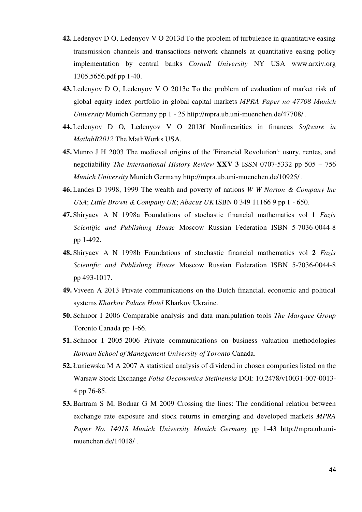- **42.** Ledenyov D O, Ledenyov V O 2013d To the problem of turbulence in quantitative easing transmission channels and transactions network channels at quantitative easing policy implementation by central banks *Cornell University* NY USA www.arxiv.org 1305.5656.pdf pp 1-40.
- **43.** Ledenyov D O, Ledenyov V O 2013e To the problem of evaluation of market risk of global equity index portfolio in global capital markets *MPRA Paper no 47708 Munich University* Munich Germany pp 1 - 25 http://mpra.ub.uni-muenchen.de/47708/ .
- **44.** Ledenyov D O, Ledenyov V O 2013f Nonlinearities in finances *Software in MatlabR2012* The MathWorks USA.
- **45.** Munro J H 2003 The medieval origins of the 'Financial Revolution': usury, rentes, and negotiability *The International History Review* **XXV 3** ISSN 0707-5332 pp 505 – 756 *Munich University* Munich Germany http://mpra.ub.uni-muenchen.de/10925/ .
- **46.** Landes D 1998, 1999 The wealth and poverty of nations *W W Norton & Company Inc USA*; *Little Brown & Company UK*; *Abacus UK* ISBN 0 349 11166 9 pp 1 - 650.
- **47.** Shiryaev A N 1998a Foundations of stochastic financial mathematics vol **1** *Fazis Scientific and Publishing House* Moscow Russian Federation ISBN 5-7036-0044-8 pp 1-492.
- **48.** Shiryaev A N 1998b Foundations of stochastic financial mathematics vol **2** *Fazis Scientific and Publishing House* Moscow Russian Federation ISBN 5-7036-0044-8 pp 493-1017.
- **49.** Viveen A 2013 Private communications on the Dutch financial, economic and political systems *Kharkov Palace Hotel* Kharkov Ukraine.
- **50.** Schnoor I 2006 Comparable analysis and data manipulation tools *The Marquee Group*  Toronto Canada pp 1-66.
- **51.** Schnoor I 2005-2006 Private communications on business valuation methodologies *Rotman School of Management University of Toronto* Canada.
- **52.** Łuniewska M A 2007 A statistical analysis of dividend in chosen companies listed on the Warsaw Stock Exchange *Folia Oeconomica Stetinensia* DOI: 10.2478/v10031-007-0013- 4 pp 76-85.
- **53.** Bartram S M, Bodnar G M 2009 Crossing the lines: The conditional relation between exchange rate exposure and stock returns in emerging and developed markets *MPRA Paper No. 14018 Munich University Munich Germany* pp 1-43 http://mpra.ub.unimuenchen.de/14018/ .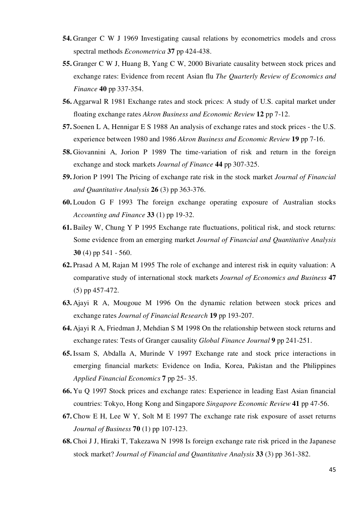- **54.** Granger C W J 1969 Investigating causal relations by econometrics models and cross spectral methods *Econometrica* **37** pp 424-438.
- **55.** Granger C W J, Huang B, Yang C W, 2000 Bivariate causality between stock prices and exchange rates: Evidence from recent Asian flu *The Quarterly Review of Economics and Finance* **40** pp 337-354.
- **56.** Aggarwal R 1981 Exchange rates and stock prices: A study of U.S. capital market under floating exchange rates *Akron Business and Economic Review* **12** pp 7-12.
- **57.** Soenen L A, Hennigar E S 1988 An analysis of exchange rates and stock prices the U.S. experience between 1980 and 1986 *Akron Business and Economic Review* **19** pp 7-16.
- **58.** Giovannini A, Jorion P 1989 The time-variation of risk and return in the foreign exchange and stock markets *Journal of Finance* **44** pp 307-325.
- **59.**Jorion P 1991 The Pricing of exchange rate risk in the stock market *Journal of Financial and Quantitative Analysis* **26** (3) pp 363-376.
- **60.** Loudon G F 1993 The foreign exchange operating exposure of Australian stocks *Accounting and Finance* **33** (1) pp 19-32.
- **61.** Bailey W, Chung Y P 1995 Exchange rate fluctuations, political risk, and stock returns: Some evidence from an emerging market *Journal of Financial and Quantitative Analysis* **30** (4) pp 541 - 560.
- **62.** Prasad A M, Rajan M 1995 The role of exchange and interest risk in equity valuation: A comparative study of international stock markets *Journal of Economics and Business* **47** (5) pp 457-472.
- **63.** Ajayi R A, Mougoue M 1996 On the dynamic relation between stock prices and exchange rates *Journal of Financial Research* **19** pp 193-207.
- **64.** Ajayi R A, Friedman J, Mehdian S M 1998 On the relationship between stock returns and exchange rates: Tests of Granger causality *Global Finance Journal* **9** pp 241-251.
- **65.** Issam S, Abdalla A, Murinde V 1997 Exchange rate and stock price interactions in emerging financial markets: Evidence on India, Korea, Pakistan and the Philippines *Applied Financial Economics* **7** pp 25- 35.
- **66.** Yu Q 1997 Stock prices and exchange rates: Experience in leading East Asian financial countries: Tokyo, Hong Kong and Singapore *Singapore Economic Review* **41** pp 47-56.
- **67.** Chow E H, Lee W Y, Solt M E 1997 The exchange rate risk exposure of asset returns *Journal of Business* **70** (1) pp 107-123.
- **68.** Choi J J, Hiraki T, Takezawa N 1998 Is foreign exchange rate risk priced in the Japanese stock market? *Journal of Financial and Quantitative Analysis* **33** (3) pp 361-382.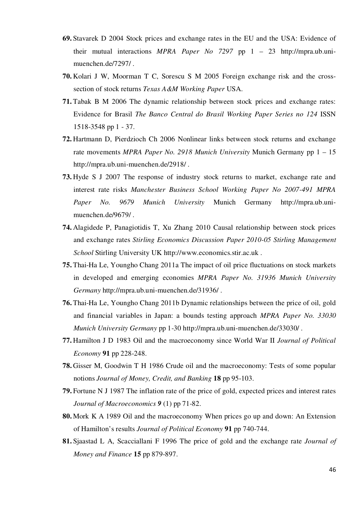- **69.** Stavarek D 2004 Stock prices and exchange rates in the EU and the USA: Evidence of their mutual interactions *MPRA Paper No 7297* pp 1 – 23 http://mpra.ub.unimuenchen.de/7297/ .
- **70.** Kolari J W, Moorman T C, Sorescu S M 2005 Foreign exchange risk and the crosssection of stock returns *Texas A&M Working Paper* USA.
- **71.** Tabak B M 2006 The dynamic relationship between stock prices and exchange rates: Evidence for Brasil *The Banco Central do Brasil Working Paper Series no 124* ISSN 1518-3548 pp 1 - 37.
- **72.** Hartmann D, Pierdzioch Ch 2006 Nonlinear links between stock returns and exchange rate movements *MPRA Paper No. 2918 Munich University* Munich Germany pp 1 – 15 http://mpra.ub.uni-muenchen.de/2918/ .
- **73.** Hyde S J 2007 The response of industry stock returns to market, exchange rate and interest rate risks *Manchester Business School Working Paper No 2007-491 MPRA Paper No. 9679 Munich University* Munich Germany http://mpra.ub.unimuenchen.de/9679/ .
- **74.** Alagidede P, Panagiotidis T, Xu Zhang 2010 Causal relationship between stock prices and exchange rates *Stirling Economics Discussion Paper 2010-05 Stirling Management School* Stirling University UK http://www.economics.stir.ac.uk .
- **75.** Thai-Ha Le, Youngho Chang 2011a The impact of oil price fluctuations on stock markets in developed and emerging economies *MPRA Paper No. 31936 Munich University Germany* http://mpra.ub.uni-muenchen.de/31936/ .
- **76.** Thai-Ha Le, Youngho Chang 2011b Dynamic relationships between the price of oil, gold and financial variables in Japan: a bounds testing approach *MPRA Paper No. 33030 Munich University Germany* pp 1-30 http://mpra.ub.uni-muenchen.de/33030/ .
- **77.** Hamilton J D 1983 Oil and the macroeconomy since World War II *Journal of Political Economy* **91** pp 228-248.
- **78.** Gisser M, Goodwin T H 1986 Crude oil and the macroeconomy: Tests of some popular notions *Journal of Money, Credit, and Banking* **18** pp 95-103.
- **79.** Fortune N J 1987 The inflation rate of the price of gold, expected prices and interest rates *Journal of Macroeconomics 9* (1) pp 71-82.
- **80.** Mork K A 1989 Oil and the macroeconomy When prices go up and down: An Extension of Hamilton's results *Journal of Political Economy* **91** pp 740-744.
- **81.** Sjaastad L A, Scacciallani F 1996 The price of gold and the exchange rate *Journal of Money and Finance* **15** pp 879-897.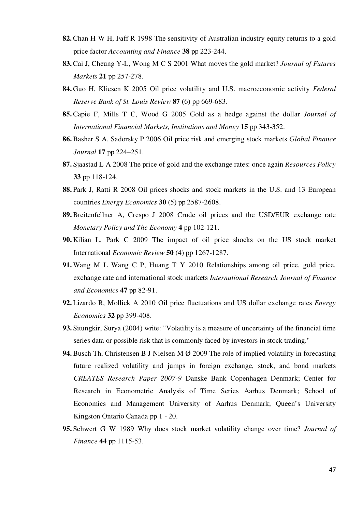- **82.** Chan H W H, Faff R 1998 The sensitivity of Australian industry equity returns to a gold price factor *Accounting and Finance* **38** pp 223-244.
- **83.** Cai J, Cheung Y-L, Wong M C S 2001 What moves the gold market? *Journal of Futures Markets* **21** pp 257-278.
- **84.** Guo H, Kliesen K 2005 Oil price volatility and U.S. macroeconomic activity *Federal Reserve Bank of St. Louis Review* **87** (6) pp 669-683.
- **85.** Capie F, Mills T C, Wood G 2005 Gold as a hedge against the dollar *Journal of International Financial Markets, Institutions and Money* **15** pp 343-352.
- **86.** Basher S A, Sadorsky P 2006 Oil price risk and emerging stock markets *Global Finance Journal* **17** pp 224–251.
- **87.** Sjaastad L A 2008 The price of gold and the exchange rates: once again *Resources Policy* **33** pp 118-124.
- **88.** Park J, Ratti R 2008 Oil prices shocks and stock markets in the U.S. and 13 European countries *Energy Economics* **30** (5) pp 2587-2608.
- **89.** Breitenfellner A, Crespo J 2008 Crude oil prices and the USD/EUR exchange rate *Monetary Policy and The Economy* **4** pp 102-121.
- **90.** Kilian L, Park C 2009 The impact of oil price shocks on the US stock market International *Economic Review* **50** (4) pp 1267-1287.
- **91.** Wang M L Wang C P, Huang T Y 2010 Relationships among oil price, gold price, exchange rate and international stock markets *International Research Journal of Finance and Economics* **47** pp 82-91.
- **92.** Lizardo R, Mollick A 2010 Oil price fluctuations and US dollar exchange rates *Energy Economics* **32** pp 399-408.
- **93.** Situngkir, Surya (2004) write: "Volatility is a measure of uncertainty of the financial time series data or possible risk that is commonly faced by investors in stock trading."
- **94.** Busch Th, Christensen B J Nielsen M Ø 2009 The role of implied volatility in forecasting future realized volatility and jumps in foreign exchange, stock, and bond markets *CREATES Research Paper 2007-9* Danske Bank Copenhagen Denmark; Center for Research in Econometric Analysis of Time Series Aarhus Denmark; School of Economics and Management University of Aarhus Denmark; Queen's University Kingston Ontario Canada pp 1 - 20.
- **95.** Schwert G W 1989 Why does stock market volatility change over time? *Journal of Finance* **44** pp 1115-53.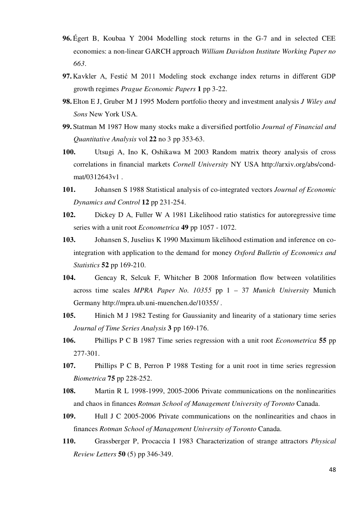- **96.** Égert B, Koubaa Y 2004 Modelling stock returns in the G-7 and in selected CEE economies: a non-linear GARCH approach *William Davidson Institute Working Paper no 663*.
- **97.** Kavkler A, Festić M 2011 Modeling stock exchange index returns in different GDP growth regimes *Prague Economic Papers* **1** pp 3-22.
- **98.** Elton E J, Gruber M J 1995 Modern portfolio theory and investment analysis *J Wiley and Sons* New York USA.
- **99.** Statman M 1987 How many stocks make a diversified portfolio *Journal of Financial and Quantitative Analysis* vol **22** no 3 pp 353-63.
- **100.** Utsugi A, Ino K, Oshikawa M 2003 Random matrix theory analysis of cross correlations in financial markets *Cornell University* NY USA http://arxiv.org/abs/condmat/0312643v1 .
- **101.** Johansen S 1988 Statistical analysis of co-integrated vectors *Journal of Economic Dynamics and Control* **12** pp 231-254.
- **102.** Dickey D A, Fuller W A 1981 Likelihood ratio statistics for autoregressive time series with a unit root *Econometrica* **49** pp 1057 - 1072.
- **103.** Johansen S, Juselius K 1990 Maximum likelihood estimation and inference on cointegration with application to the demand for money *Oxford Bulletin of Economics and Statistics* **52** pp 169-210.
- **104.** Gencay R, Selcuk F, Whitcher B 2008 Information flow between volatilities across time scales *MPRA Paper No. 10355* pp 1 – 37 *Munich University* Munich Germany http://mpra.ub.uni-muenchen.de/10355/ .
- **105.** Hinich M J 1982 Testing for Gaussianity and linearity of a stationary time series *Journal of Time Series Analysis* **3** pp 169-176.
- **106.** Phillips P C B 1987 Time series regression with a unit root *Econometrica* **55** pp 277-301.
- **107.** Phillips P C B, Perron P 1988 Testing for a unit root in time series regression *Biometrica* **75** pp 228-252.
- **108.** Martin R L 1998-1999, 2005-2006 Private communications on the nonlinearities and chaos in finances *Rotman School of Management University of Toronto* Canada.
- **109.** Hull J C 2005-2006 Private communications on the nonlinearities and chaos in finances *Rotman School of Management University of Toronto* Canada.
- **110.** Grassberger P, Procaccia I 1983 Characterization of strange attractors *Physical Review Letters* **50** (5) pp 346-349.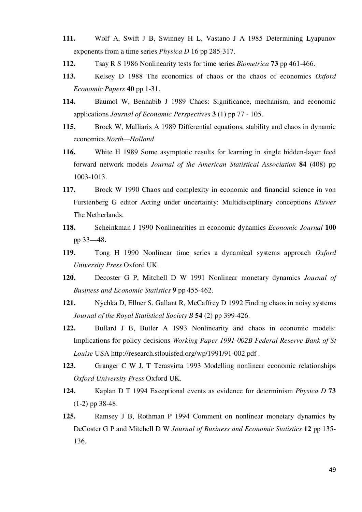- **111.** Wolf A, Swift J B, Swinney H L, Vastano J A 1985 Determining Lyapunov exponents from a time series *Physica D* 16 pp 285-317.
- **112.** Tsay R S 1986 Nonlinearity tests for time series *Biometrica* **73** pp 461-466.
- **113.** Kelsey D 1988 The economics of chaos or the chaos of economics *Oxford Economic Papers* **40** pp 1-31.
- **114.** Baumol W, Benhabib J 1989 Chaos: Significance, mechanism, and economic applications *Journal of Economic Perspectives* **3** (1) pp 77 - 105.
- **115.** Brock W, Malliaris A 1989 Differential equations, stability and chaos in dynamic economics *North—Holland*.
- **116.** White H 1989 Some asymptotic results for learning in single hidden-layer feed forward network models *Journal of the American Statistical Association* **84** (408) pp 1003-1013.
- **117.** Brock W 1990 Chaos and complexity in economic and financial science in von Furstenberg G editor Acting under uncertainty: Multidisciplinary conceptions *Kluwer* The Netherlands.
- **118.** Scheinkman J 1990 Nonlinearities in economic dynamics *Economic Journal* **100** pp 33—48.
- **119.** Tong H 1990 Nonlinear time series a dynamical systems approach *Oxford University Press* Oxford UK.
- **120.** Decoster G P, Mitchell D W 1991 Nonlinear monetary dynamics *Journal of Business and Economic Statistics* **9** pp 455-462.
- **121.** Nychka D, Ellner S, Gallant R, McCaffrey D 1992 Finding chaos in noisy systems *Journal of the Royal Statistical Society B* **54** (2) pp 399-426.
- **122.** Bullard J B, Butler A 1993 Nonlinearity and chaos in economic models: Implications for policy decisions *Working Paper 1991-002B Federal Reserve Bank of St Louise* USA http://research.stlouisfed.org/wp/1991/91-002.pdf .
- **123.** Granger C W J, T Terasvirta 1993 Modelling nonlinear economic relationships *Oxford University Press* Oxford UK.
- **124.** Kaplan D T 1994 Exceptional events as evidence for determinism *Physica D* **73** (1-2) pp 38-48.
- **125.** Ramsey J B, Rothman P 1994 Comment on nonlinear monetary dynamics by DeCoster G P and Mitchell D W *Journal of Business and Economic Statistics* **12** pp 135- 136.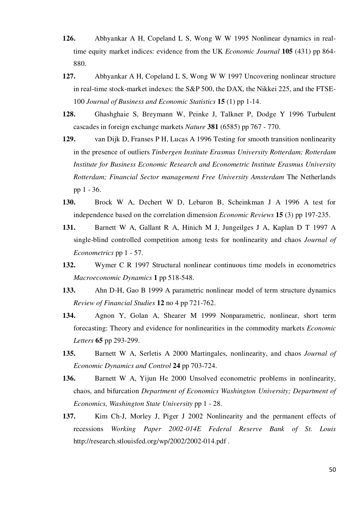- **126.** Abhyankar A H, Copeland L S, Wong W W 1995 Nonlinear dynamics in realtime equity market indices: evidence from the UK *Economic Journal* **105** (431) pp 864- 880.
- **127.** Abhyankar A H, Copeland L S, Wong W W 1997 Uncovering nonlinear structure in real-time stock-market indexes: the S&P 500, the DAX, the Nikkei 225, and the FTSE-100 *Journal of Business and Economic Statistics* **15** (1) pp 1-14.
- **128.** Ghashghaie S, Breymann W, Peinke J, Talkner P, Dodge Y 1996 Turbulent cascades in foreign exchange markets *Nature* **381** (6585) pp 767 - 770.
- **129.** van Dijk D, Franses P H, Lucas A 1996 Testing for smooth transition nonlinearity in the presence of outliers *Tinbergen Institute Erasmus University Rotterdam; Rotterdam Institute for Business Economic Research and Econometric Institute Erasmus University Rotterdam; Financial Sector management Free University Amsterdam* The Netherlands pp 1 - 36.
- **130.** Brock W A, Dechert W D, Lebaron B, Scheinkman J A 1996 A test for independence based on the correlation dimension *Economic Reviews* **15** (3) pp 197-235.
- **131.** Barnett W A, Gallant R A, Hinich M J, Jungeilges J A, Kaplan D T 1997 A single-blind controlled competition among tests for nonlinearity and chaos *Journal of Econometrics* pp 1 - 57.
- **132.** Wymer C R 1997 Structural nonlinear continuous time models in econometrics *Macroeconomic Dynamics* **1** pp 518-548.
- **133.** Ahn D-H, Gao B 1999 A parametric nonlinear model of term structure dynamics *Review of Financial Studies* **12** no 4 pp 721-762.
- **134.** Agnon Y, Golan A, Shearer M 1999 Nonparametric, nonlinear, short term forecasting: Theory and evidence for nonlinearities in the commodity markets *Economic Letters* **65** pp 293-299.
- **135.** Barnett W A, Serletis A 2000 Martingales, nonlinearity, and chaos *Journal of Economic Dynamics and Control* **24** pp 703-724.
- **136.** Barnett W A, Yijun He 2000 Unsolved econometric problems in nonlinearity, chaos, and bifurcation *Department of Economics Washington University; Department of Economics, Washington State University* pp 1 - 28.
- **137.** Kim Ch-J, Morley J, Piger J 2002 Nonlinearity and the permanent effects of recessions *Working Paper 2002-014E Federal Reserve Bank of St. Louis*  http://research.stlouisfed.org/wp/2002/2002-014.pdf .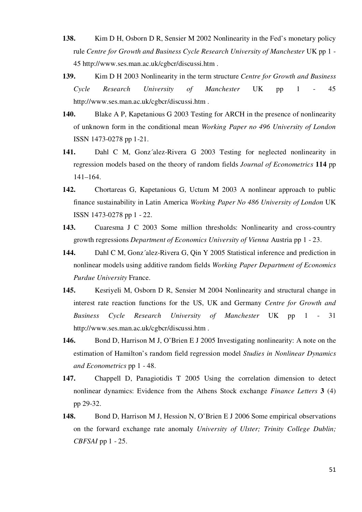- **138.** Kim D H, Osborn D R, Sensier M 2002 Nonlinearity in the Fed's monetary policy rule *Centre for Growth and Business Cycle Research University of Manchester* UK pp 1 - 45 http://www.ses.man.ac.uk/cgbcr/discussi.htm .
- **139.** Kim D H 2003 Nonlinearity in the term structure *Centre for Growth and Business Cycle Research University of Manchester* UK pp 1 - 45 http://www.ses.man.ac.uk/cgbcr/discussi.htm .
- **140.** Blake A P, Kapetanious G 2003 Testing for ARCH in the presence of nonlinearity of unknown form in the conditional mean *Working Paper no 496 University of London* ISSN 1473-0278 pp 1-21.
- **141.** Dahl C M, Gonz´alez-Rivera G 2003 Testing for neglected nonlinearity in regression models based on the theory of random fields *Journal of Econometrics* **114** pp 141–164.
- **142.** Chortareas G, Kapetanious G, Uctum M 2003 A nonlinear approach to public finance sustainability in Latin America *Working Paper No 486 University of London* UK ISSN 1473-0278 pp 1 - 22.
- **143.** Cuaresma J C 2003 Some million thresholds: Nonlinearity and cross-country growth regressions *Department of Economics University of Vienna* Austria pp 1 - 23.
- **144.** Dahl C M, Gonz´alez-Rivera G, Qin Y 2005 Statistical inference and prediction in nonlinear models using additive random fields *Working Paper Department of Economics Purdue University* France.
- **145.** Kesriyeli M, Osborn D R, Sensier M 2004 Nonlinearity and structural change in interest rate reaction functions for the US, UK and Germany *Centre for Growth and Business Cycle Research University of Manchester* UK pp 1 - 31 http://www.ses.man.ac.uk/cgbcr/discussi.htm .
- **146.** Bond D, Harrison M J, O'Brien E J 2005 Investigating nonlinearity: A note on the estimation of Hamilton's random field regression model *Studies in Nonlinear Dynamics and Econometrics* pp 1 - 48.
- **147.** Chappell D, Panagiotidis T 2005 Using the correlation dimension to detect nonlinear dynamics: Evidence from the Athens Stock exchange *Finance Letters* **3** (4) pp 29-32.
- **148.** Bond D, Harrison M J, Hession N, O'Brien E J 2006 Some empirical observations on the forward exchange rate anomaly *University of Ulster; Trinity College Dublin; CBFSAI* pp 1 - 25.